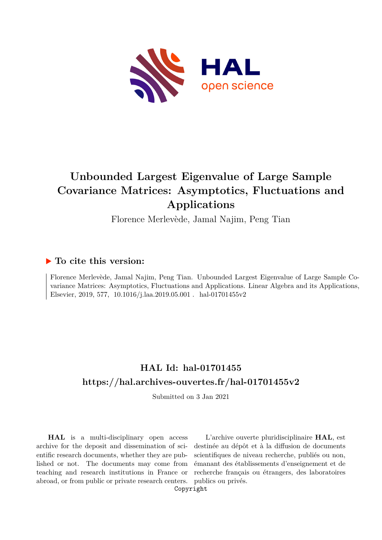

# **Unbounded Largest Eigenvalue of Large Sample Covariance Matrices: Asymptotics, Fluctuations and Applications**

Florence Merlevède, Jamal Najim, Peng Tian

# **To cite this version:**

Florence Merlevède, Jamal Najim, Peng Tian. Unbounded Largest Eigenvalue of Large Sample Covariance Matrices: Asymptotics, Fluctuations and Applications. Linear Algebra and its Applications, Elsevier, 2019, 577, 10.1016/j.laa.2019.05.001 . hal-01701455v2

# **HAL Id: hal-01701455 <https://hal.archives-ouvertes.fr/hal-01701455v2>**

Submitted on 3 Jan 2021

**HAL** is a multi-disciplinary open access archive for the deposit and dissemination of scientific research documents, whether they are published or not. The documents may come from teaching and research institutions in France or abroad, or from public or private research centers.

L'archive ouverte pluridisciplinaire **HAL**, est destinée au dépôt et à la diffusion de documents scientifiques de niveau recherche, publiés ou non, émanant des établissements d'enseignement et de recherche français ou étrangers, des laboratoires publics ou privés.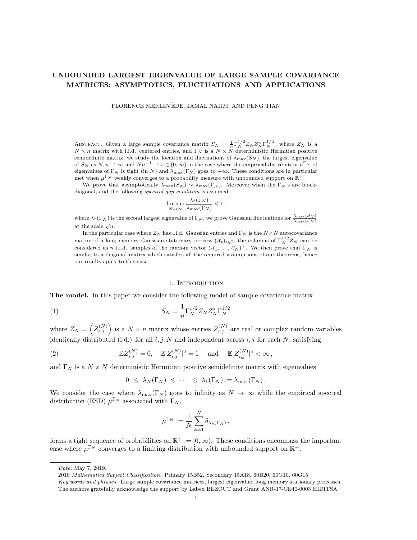# UNBOUNDED LARGEST EIGENVALUE OF LARGE SAMPLE COVARIANCE MATRICES: ASYMPTOTICS, FLUCTUATIONS AND APPLICATIONS

FLORENCE MERLEVEDE, JAMAL NAJIM, AND PENG TIAN `

ABSTRACT. Given a large sample covariance matrix  $S_N = \frac{1}{n} \Gamma_N^{1/2} Z_N Z_N^* \Gamma_N^{1/2}$ , where  $Z_N$  is a  $N \times n$  matrix with i.i.d. centered entries, and  $\Gamma_N$  is a  $N \times N$  deterministic Hermitian positive semidefinite matrix, we study the location and fluctuations of  $\lambda_{\text{max}}(S_N)$ , the largest eigenvalue of  $S_N$  as  $N, n \to \infty$  and  $Nn^{-1} \to r \in (0, \infty)$  in the case where the empirical distribution  $\mu^{\Gamma_N}$  of eigenvalues of  $\Gamma_N$  is tight (in N) and  $\lambda_{\max}(\Gamma_N)$  goes to  $+\infty$ . These conditions are in particular met when  $\mu^{\Gamma_N}$  weakly converges to a probability measure with unbounded support on  $\mathbb{R}^+$ .

We prove that asymptotically  $\lambda_{\max}(S_N) \sim \lambda_{\max}(\Gamma_N)$ . Moreover when the  $\Gamma_N$ 's are blockdiagonal, and the following spectral gap condition is assumed:

$$
\limsup_{N\to\infty}\frac{\lambda_2(\Gamma_N)}{\lambda_{\max}(\Gamma_N)}<1,
$$

where  $\lambda_2(\Gamma_N)$  is the second largest eigenvalue of  $\Gamma_N$ , we prove Gaussian fluctuations for  $\frac{\lambda_{\max}(S_N)}{\lambda_{\max}(\Gamma_N)}$ at the scale  $\sqrt{n}$ .

In the particular case where  $Z_N$  has i.i.d. Gaussian entries and  $\Gamma_N$  is the  $N \times N$  autocovariance matrix of a long memory Gaussian stationary process  $(\mathcal{X}_t)_{t\in\mathbb{Z}}$ , the columns of  $\Gamma_N^{1/2}Z_N$  can be considered as n i.i.d. samples of the random vector  $(X_1, \ldots, X_N)^\top$ . We then prove that  $\Gamma_N$  is similar to a diagonal matrix which satisfies all the required assumptions of our theorems, hence our results apply to this case.

### 1. INTRODUCTION

The model. In this paper we consider the following model of sample covariance matrix

(1) 
$$
S_N = \frac{1}{n} \Gamma_N^{1/2} Z_N Z_N^* \Gamma_N^{1/2}
$$

where  $Z_N = \left( Z_{i,j}^{(N)} \right)$  is a  $N \times n$  matrix whose entries  $Z_{i,j}^{(N)}$  are real or complex random variables identically distributed (i.d.) for all  $i, j, N$  and independent across  $i, j$  for each N, satisfying

(2) 
$$
\mathbb{E}Z_{i,j}^{(N)}=0, \quad \mathbb{E}|Z_{i,j}^{(N)}|^2=1 \quad \text{ and } \quad \mathbb{E}|Z_{i,j}^{(N)}|^4<\infty,
$$

and  $\Gamma_N$  is a  $N \times N$  deterministic Hermitian positive semidefinite matrix with eigenvalues

$$
0 \leq \lambda_N(\Gamma_N) \leq \cdots \leq \lambda_1(\Gamma_N) := \lambda_{\max}(\Gamma_N).
$$

We consider the case where  $\lambda_{\max}(\Gamma_N)$  goes to infinity as  $N \to \infty$  while the empirical spectral distribution (ESD)  $\mu^{\Gamma_N}$  associated with  $\Gamma_N$ ,

$$
\mu^{\Gamma_N}:=\frac{1}{N}\sum_{k=1}^N\delta_{\lambda_k(\Gamma_N)}\,,
$$

forms a tight sequence of probabilities on  $\mathbb{R}^+ := [0, \infty)$ . These conditions encompass the important case where  $\mu^{\Gamma_N}$  converges to a limiting distribution with unbounded support on  $\mathbb{R}^+$ .

Date: May 7, 2019.

<sup>2010</sup> Mathematics Subject Classification. Primary 15B52, Secondary 15A18, 60B20, 60G10, 60G15.

Key words and phrases. Large sample covariance matrices, largest eigenvalue, long memory stationary processes. The authors gratefully acknowledge the support by Labex BEZOUT and Grant ANR-17-CE40-0003 HIDITSA. ´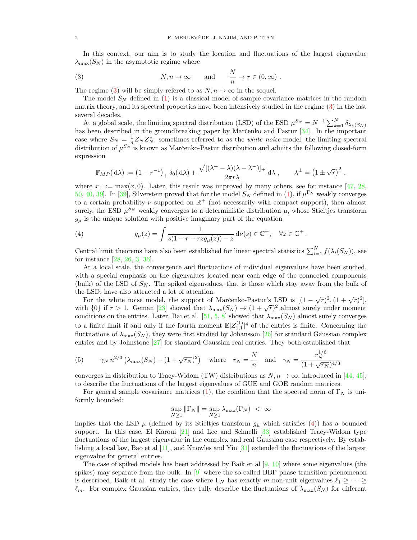In this context, our aim is to study the location and fluctuations of the largest eigenvalue  $\lambda_{\text{max}}(S_N)$  in the asymptotic regime where

(3) 
$$
N, n \to \infty
$$
 and  $\frac{N}{n} \to r \in (0, \infty)$ .

The regime (3) will be simply referred to as  $N, n \to \infty$  in the sequel.

The model  $S_N$  defined in (1) is a classical model of sample covariance matrices in the random matrix theory, and its spectral properties have been intensively studied in the regime (3) in the last several decades.

At a global scale, the limiting spectral distribution (LSD) of the ESD  $\mu^{S_N} = N^{-1} \sum_{k=1}^N \delta_{\lambda_k(S_N)}$ has been described in the groundbreaking paper by Marc̆enko and Pastur  $[34]$ . In the important case where  $S_N = \frac{1}{n} Z_N Z_N^*$ , sometimes referred to as the *white noise* model, the limiting spectral distribution of  $\mu^{S_N}$  is known as Marc̆enko-Pastur distribution and admits the following closed-form expression

$$
\mathbb{P}_{MP}(\mathrm{d}\lambda) := (1 - r^{-1})_{+} \delta_0(\mathrm{d}\lambda) + \frac{\sqrt{[(\lambda^{+} - \lambda)(\lambda - \lambda^{-})]_{+}}}{2\pi r\lambda} \mathrm{d}\lambda , \qquad \lambda^{\pm} = (1 \pm \sqrt{r})^2 ,
$$

where  $x_+ := \max(x, 0)$ . Later, this result was improved by many others, see for instance [47, 28, 50, 40, 39]. In [39], Silverstein proved that for the model  $S_N$  defined in (1), if  $\mu^{\Gamma_N}$  weakly converges to a certain probability  $\nu$  supported on  $\mathbb{R}^+$  (not necessarily with compact support), then almost surely, the ESD  $\mu^{S_N}$  weakly converges to a deterministic distribution  $\mu$ , whose Stieltjes transform  $g_{\mu}$  is the unique solution with positive imaginary part of the equation

(4) 
$$
g_{\mu}(z) = \int \frac{1}{s(1 - r - r z g_{\mu}(z)) - z} d\nu(s) \in \mathbb{C}^{+}, \quad \forall z \in \mathbb{C}^{+}.
$$

Central limit theorems have also been established for linear spectral statistics  $\sum_{i=1}^{N} f(\lambda_i(S_N))$ , see for instance [28, 26, 3, 36].

At a local scale, the convergence and fluctuations of individual eigenvalues have been studied, with a special emphasis on the eigenvalues located near each edge of the connected components (bulk) of the LSD of  $S_N$ . The spiked eigenvalues, that is those which stay away from the bulk of the LSD, have also attracted a lot of attention.

 $\epsilon$  ESD, have also attracted a lot of attention.<br>For the white noise model, the support of Marčenko-Pastur's LSD is  $[(1 - \sqrt{r})^2, (1 + \sqrt{r})^2]$ , For the winte noise model, the support of marcento-rasture EDD is  $[(1 - \sqrt{r})^2, (1 + \sqrt{r})^2]$ , with  $[0]$  if  $r > 1$ . Geman [23] showed that  $\lambda_{\text{max}}(S_N) \rightarrow (1 + \sqrt{r})^2$  almost surely under moment conditions on the entries. Later, Bai et al. [51, 5, 8] showed that  $\lambda_{\max}(S_N)$  almost surely converges to a finite limit if and only if the fourth moment  $\mathbb{E}|Z_{1,1}^{(1)}|^4$  of the entries is finite. Concerning the fluctuations of  $\lambda_{\text{max}}(S_N)$ , they were first studied by Johansson [26] for standard Gaussian complex entries and by Johnstone [27] for standard Gaussian real entries. They both established that

(5) 
$$
\gamma_N n^{2/3} \left( \lambda_{\max}(S_N) - (1 + \sqrt{r_N})^2 \right)
$$
 where  $r_N = \frac{N}{n}$  and  $\gamma_N = \frac{r_N^{1/6}}{(1 + \sqrt{r_N})^{4/3}}$ 

converges in distribution to Tracy-Widom (TW) distributions as  $N, n \to \infty$ , introduced in [44, 45], to describe the fluctuations of the largest eigenvalues of GUE and GOE random matrices.

For general sample covariance matrices (1), the condition that the spectral norm of  $\Gamma_N$  is uniformly bounded:

$$
\sup_{N\geq 1} \|\Gamma_N\| = \sup_{N\geq 1} \lambda_{\max}(\Gamma_N) < \infty
$$

implies that the LSD  $\mu$  (defined by its Stieltjes transform  $g_{\mu}$  which satisfies (4)) has a bounded support. In this case, El Karoui  $[21]$  and Lee and Schnelli  $[33]$  established Tracy-Widom type fluctuations of the largest eigenvalue in the complex and real Gaussian case respectively. By establishing a local law, Bao et al  $[11]$ , and Knowles and Yin  $[31]$  extended the fluctuations of the largest eigenvalue for general entries.

The case of spiked models has been addressed by Baik et al  $[9, 10]$  where some eigenvalues (the spikes) may separate from the bulk. In  $[9]$  where the so-called BBP phase transition phenomenon is described, Baik et al. study the case where  $\Gamma_N$  has exactly m non-unit eigenvalues  $\ell_1 \geq \cdots \geq$  $\ell_m$ . For complex Gaussian entries, they fully describe the fluctuations of  $\lambda_{\text{max}}(S_N)$  for different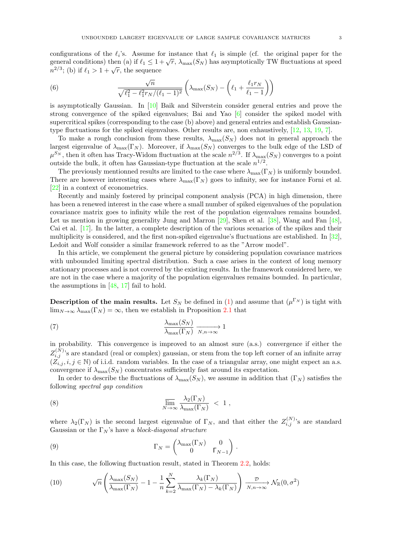configurations of the  $\ell_i$ 's. Assume for instance that  $\ell_1$  is simple (cf. the original paper for the comigurations of the  $\epsilon_i$  s. Assume for instance that  $\epsilon_1$  is simple (cf. the original paper for the general conditions) then (a) if  $\ell_1 \leq 1 + \sqrt{r}$ ,  $\lambda_{\max}(S_N)$  has asymptotically TW fluctuations at speed general conditions) then (a) if  $\varepsilon_1 \leq 1$ <br> $n^{2/3}$ ; (b) if  $\ell_1 > 1 + \sqrt{r}$ , the sequence

(6) 
$$
\frac{\sqrt{n}}{\sqrt{\ell_1^2 - \ell_1^2 r_N/(\ell_1 - 1)^2}} \left( \lambda_{\max}(S_N) - \left( \ell_1 + \frac{\ell_1 r_N}{\ell_1 - 1} \right) \right)
$$

is asymptotically Gaussian. In [10] Baik and Silverstein consider general entries and prove the strong convergence of the spiked eigenvalues; Bai and Yao [6] consider the spiked model with supercritical spikes (corresponding to the case (b) above) and general entries and establish Gaussiantype fluctuations for the spiked eigenvalues. Other results are, non exhaustively, [12, 13, 19, 7].

To make a rough conclusion from these results,  $\lambda_{\max}(S_N)$  does not in general approach the largest eigenvalue of  $\lambda_{\max}(\Gamma_N)$ . Moreover, if  $\lambda_{\max}(S_N)$  converges to the bulk edge of the LSD of  $\mu^{S_N}$ , then it often has Tracy-Widom fluctuation at the scale  $n^{2/3}$ . If  $\lambda_{\max}(S_N)$  converges to a point outside the bulk, it often has Gaussian-type fluctuation at the scale  $n^{1/2}$ .

The previously mentionned results are limited to the case where  $\lambda_{\max}(\Gamma_N)$  is uniformly bounded. There are however interesting cases where  $\lambda_{\max}(\Gamma_N)$  goes to infinity, see for instance Forni et al. [22] in a context of econometrics.

Recently and mainly fostered by principal component analysis (PCA) in high dimension, there has been a renewed interest in the case where a small number of spiked eigenvalues of the population covariance matrix goes to infinity while the rest of the population eigenvalues remains bounded. Let us mention in growing generality Jung and Marron [29], Shen et al. [38], Wang and Fan [48], Cai et al. [17]. In the latter, a complete description of the various scenarios of the spikes and their multiplicity is considered, and the first non-spiked eigenvalue's fluctuations are established. In [32], Ledoit and Wolf consider a similar framework referred to as the "Arrow model".

In this article, we complement the general picture by considering population covariance matrices with unbounded limiting spectral distribution. Such a case arises in the context of long memory stationary processes and is not covered by the existing results. In the framework considered here, we are not in the case where a majority of the population eigenvalues remains bounded. In particular, the assumptions in  $[48, 17]$  fail to hold.

**Description of the main results.** Let  $S_N$  be defined in (1) and assume that  $(\mu^{\Gamma_N})$  is tight with  $\lim_{N\to\infty}\lambda_{\max}(\Gamma_N)=\infty$ , then we establish in Proposition 2.1 that

(7) 
$$
\frac{\lambda_{\max}(S_N)}{\lambda_{\max}(\Gamma_N)} \xrightarrow[N,n \to \infty]{} 1
$$

in probability. This convergence is improved to an almost sure (a.s.) convergence if either the  $Z_{i,j}^{(N)}$ 's are standard (real or complex) gaussian, or stem from the top left corner of an infinite array  $(\bar{Z}_{i,j}, i, j \in \mathbb{N})$  of i.i.d. random variables. In the case of a triangular array, one might expect an a.s. convergence if  $\lambda_{\text{max}}(S_N)$  concentrates sufficiently fast around its expectation.

In order to describe the fluctuations of  $\lambda_{\max}(S_N)$ , we assume in addition that  $(\Gamma_N)$  satisfies the following spectral gap condition

(8) 
$$
\overline{\lim}_{N \to \infty} \frac{\lambda_2(\Gamma_N)}{\lambda_{\max}(\Gamma_N)} < 1,
$$

where  $\lambda_2(\Gamma_N)$  is the second largest eigenvalue of  $\Gamma_N$ , and that either the  $Z_{i,j}^{(N)}$ 's are standard Gaussian or the  $\Gamma_N$ 's have a *block-diagonal structure* 

(9) 
$$
\Gamma_N = \begin{pmatrix} \lambda_{\max}(\Gamma_N) & 0 \\ 0 & \Gamma_{N-1} \end{pmatrix}.
$$

In this case, the following fluctuation result, stated in Theorem 2.2, holds:

(10) 
$$
\sqrt{n}\left(\frac{\lambda_{\max}(S_N)}{\lambda_{\max}(\Gamma_N)} - 1 - \frac{1}{n}\sum_{k=2}^N \frac{\lambda_k(\Gamma_N)}{\lambda_{\max}(\Gamma_N) - \lambda_k(\Gamma_N)}\right) \xrightarrow[N,n \to \infty]{\mathcal{D}} \mathcal{N}_{\mathbb{R}}(0, \sigma^2)
$$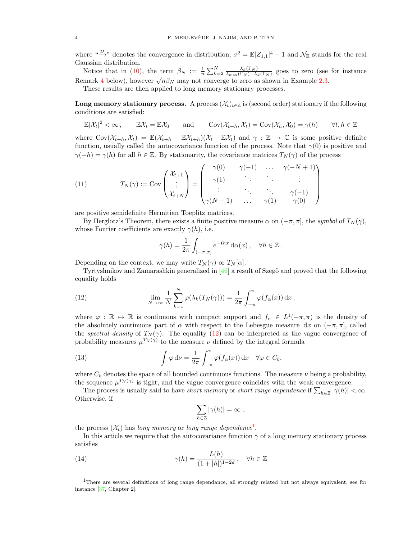where " $\rightarrow^{\infty}$ " denotes the convergence in distribution,  $\sigma^2 = \mathbb{E}|Z_{1,1}|^4 - 1$  and  $\mathcal{N}_{\mathbb{R}}$  stands for the real Gaussian distribution.

Notice that in (10), the term  $\beta_N := \frac{1}{n} \sum_{k=2}^N \frac{\lambda_k(\Gamma_N)}{\lambda_{\max}(\Gamma_N) - \lambda_k}$  $\frac{\lambda_k(1_N)}{\lambda_{\max}(\Gamma_N)-\lambda_k(\Gamma_N)}$  goes to zero (see for instance Remark 4 below), however  $\sqrt{n}\beta_N$  may not converge to zero as shown in Example 2.3.

These results are then applied to long memory stationary processes.

**Long memory stationary process.** A process  $(\mathcal{X}_t)_{t\in\mathbb{Z}}$  is (second order) stationary if the following conditions are satisfied:

 $\mathbb{E}|\mathcal{X}_t|^2 < \infty$ ,  $\mathbb{E} \mathcal{X}_t = \mathbb{E} \mathcal{X}_0$  and  $\text{Cov}(\mathcal{X}_{t+h}, \mathcal{X}_t) = \text{Cov}(\mathcal{X}_h, \mathcal{X}_0) = \gamma(h)$   $\forall t, h \in \mathbb{Z}$ 

where  $\text{Cov}(\mathcal{X}_{t+h}, \mathcal{X}_t) = \mathbb{E}(\mathcal{X}_{t+h} - \mathbb{E}\mathcal{X}_{t+h})\overline{(\mathcal{X}_t - \mathbb{E}\mathcal{X}_t)}$  and  $\gamma : \mathbb{Z} \to \mathbb{C}$  is some positive definite function, usually called the autocovariance function of the process. Note that  $\gamma(0)$  is positive and  $\gamma(-h) = \gamma(h)$  for all  $h \in \mathbb{Z}$ . By stationarity, the covariance matrices  $T_N(\gamma)$  of the process

(11) 
$$
T_N(\gamma) := \text{Cov}\begin{pmatrix} \mathcal{X}_{t+1} \\ \vdots \\ \mathcal{X}_{t+N} \end{pmatrix} = \begin{pmatrix} \gamma(0) & \gamma(-1) & \dots & \gamma(-N+1) \\ \gamma(1) & \ddots & \ddots & \vdots \\ \vdots & \ddots & \ddots & \gamma(-1) \\ \gamma(N-1) & \dots & \gamma(1) & \gamma(0) \end{pmatrix}
$$

are positive semidefinite Hermitian Toeplitz matrices.

By Herglotz's Theorem, there exists a finite positive measure  $\alpha$  on  $(-\pi, \pi]$ , the symbol of  $T_N(\gamma)$ , whose Fourier coefficients are exactly  $\gamma(h)$ , i.e.

$$
\gamma(h) = \frac{1}{2\pi} \int_{(-\pi,\pi]} e^{-ihx} \, \mathrm{d}\alpha(x) \, , \quad \forall h \in \mathbb{Z} \, .
$$

Depending on the context, we may write  $T_N(\gamma)$  or  $T_N[\alpha]$ .

Tyrtyshnikov and Zamarashkin generalized in  $[46]$  a result of Szegő and proved that the following equality holds

(12) 
$$
\lim_{N \to \infty} \frac{1}{N} \sum_{k=1}^{N} \varphi(\lambda_k(T_N(\gamma))) = \frac{1}{2\pi} \int_{-\pi}^{\pi} \varphi(f_\alpha(x)) dx,
$$

where  $\varphi : \mathbb{R} \to \mathbb{R}$  is continuous with compact support and  $f_\alpha \in L^1(-\pi, \pi)$  is the density of the absolutely continuous part of  $\alpha$  with respect to the Lebesgue measure dx on  $(-\pi, \pi]$ , called the spectral density of  $T_N(\gamma)$ . The equality (12) can be interpreted as the vague convergence of probability measures  $\mu^{T_N(\gamma)}$  to the measure  $\nu$  defined by the integral formula

(13) 
$$
\int \varphi \, d\nu = \frac{1}{2\pi} \int_{-\pi}^{\pi} \varphi(f_{\alpha}(x)) \, dx \quad \forall \varphi \in C_b,
$$

where  $C_b$  denotes the space of all bounded continuous functions. The measure  $\nu$  being a probability, the sequence  $\mu^{T_N(\gamma)}$  is tight, and the vague convergence coincides with the weak convergence.

The process is usually said to have *short memory* or *short range dependence* if  $\sum_{h \in \mathbb{Z}} |\gamma(h)| < \infty$ . Otherwise, if

$$
\sum_{h\in\mathbb{Z}}|\gamma(h)|=\infty,
$$

the process  $(\mathcal{X}_t)$  has long memory or long range dependence<sup>1</sup>.

In this article we require that the autocovariance function  $\gamma$  of a long memory stationary process satisfies

(14) 
$$
\gamma(h) = \frac{L(h)}{(1+|h|)^{1-2d}}, \quad \forall h \in \mathbb{Z}
$$

<sup>&</sup>lt;sup>1</sup>There are several definitions of long range dependance, all strongly related but not always equivalent, see for instance [37, Chapter 2].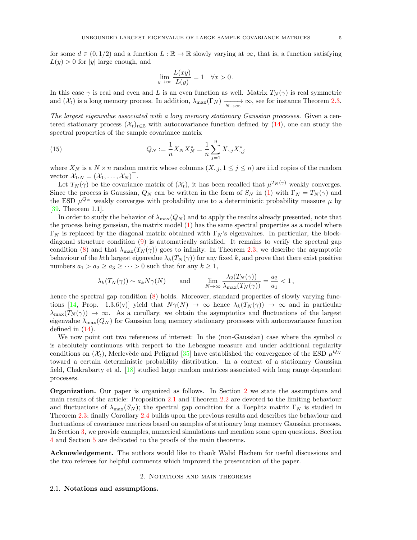for some  $d \in (0, 1/2)$  and a function  $L : \mathbb{R} \to \mathbb{R}$  slowly varying at  $\infty$ , that is, a function satisfying  $L(y) > 0$  for |y| large enough, and

$$
\lim_{y \to \infty} \frac{L(xy)}{L(y)} = 1 \quad \forall x > 0.
$$

In this case  $\gamma$  is real and even and L is an even function as well. Matrix  $T_N(\gamma)$  is real symmetric and  $(\mathcal{X}_t)$  is a long memory process. In addition,  $\lambda_{\max}(\Gamma_N) \xrightarrow[N \to \infty]{} \infty$ , see for instance Theorem 2.3.

The largest eigenvalue associated with a long memory stationary Gaussian processes. Given a centered stationary process  $(\mathcal{X}_t)_{t\in\mathbb{Z}}$  with autocovariance function defined by (14), one can study the spectral properties of the sample covariance matrix

(15) 
$$
Q_N := \frac{1}{n} X_N X_N^* = \frac{1}{n} \sum_{j=1}^n X_{\cdot,j} X_{\cdot,j}^*
$$

where  $X_N$  is a  $N \times n$  random matrix whose columns  $(X_{\cdot,j}, 1 \leq j \leq n)$  are i.i.d copies of the random vector  $\mathcal{X}_{1:N} = (\mathcal{X}_1, \ldots, \mathcal{X}_N)^\top$ .

Let  $T_N(\gamma)$  be the covariance matrix of  $(\mathcal{X}_t)$ , it has been recalled that  $\mu^{T_N(\gamma)}$  weakly converges. Since the process is Gaussian,  $Q_N$  can be written in the form of  $S_N$  in (1) with  $\Gamma_N = T_N(\gamma)$  and the ESD  $\mu^{Q_N}$  weakly converges with probability one to a deterministic probability measure  $\mu$  by [39, Theorem 1.1].

In order to study the behavior of  $\lambda_{\text{max}}(Q_N)$  and to apply the results already presented, note that the process being gaussian, the matrix model (1) has the same spectral properties as a model where  $Γ<sub>N</sub>$  is replaced by the diagonal matrix obtained with  $Γ<sub>N</sub>$ 's eigenvalues. In particular, the blockdiagonal structure condition (9) is automatically satisfied. It remains to verify the spectral gap condition (8) and that  $\lambda_{\max}(T_N(\gamma))$  goes to infinity. In Theorem 2.3, we describe the asymptotic behaviour of the kth largest eigenvalue  $\lambda_k(T_N(\gamma))$  for any fixed k, and prove that there exist positive numbers  $a_1 > a_2 \ge a_3 \ge \cdots > 0$  such that for any  $k \ge 1$ ,

$$
\lambda_k(T_N(\gamma)) \sim a_k N \gamma(N)
$$
 and  $\lim_{N \to \infty} \frac{\lambda_2(T_N(\gamma))}{\lambda_{\max}(T_N(\gamma))} = \frac{a_2}{a_1} < 1$ ,

hence the spectral gap condition  $(8)$  holds. Moreover, standard properties of slowly varying functions [14, Prop. 1.3.6(v)] yield that  $N\gamma(N) \to \infty$  hence  $\lambda_k(T_N(\gamma)) \to \infty$  and in particular  $\lambda_{\max}(T_N(\gamma)) \to \infty$ . As a corollary, we obtain the asymptotics and fluctuations of the largest eigenvalue  $\lambda_{\text{max}}(Q_N)$  for Gaussian long memory stationary processes with autocovariance function defined in (14).

We now point out two references of interest: In the (non-Gaussian) case where the symbol  $\alpha$ is absolutely continuous with respect to the Lebesgue measure and under additional regularity conditions on  $(\mathcal{X}_t)$ , Merlevède and Peligrad [35] have established the convergence of the ESD  $\mu^{Q_N}$ toward a certain deterministic probability distribution. In a context of a stationary Gaussian field, Chakrabarty et al. [18] studied large random matrices associated with long range dependent processes.

Organization. Our paper is organized as follows. In Section 2 we state the assumptions and main results of the article: Proposition 2.1 and Theorem 2.2 are devoted to the limiting behaviour and fluctuations of  $\lambda_{\max}(S_N)$ ; the spectral gap condition for a Toeplitz matrix  $\Gamma_N$  is studied in Theorem 2.3; finally Corollary 2.4 builds upon the previous results and describes the behaviour and fluctuations of covariance matrices based on samples of stationary long memory Gaussian processes. In Section 3, we provide examples, numerical simulations and mention some open questions. Section 4 and Section 5 are dedicated to the proofs of the main theorems.

Acknowledgement. The authors would like to thank Walid Hachem for useful discussions and the two referees for helpful comments which improved the presentation of the paper.

#### 2. Notations and main theorems

#### 2.1. Notations and assumptions.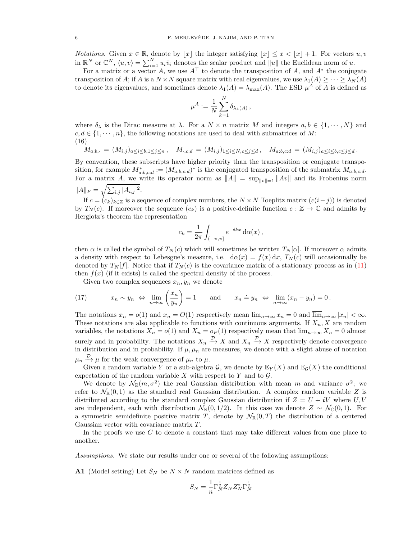*Notations.* Given  $x \in \mathbb{R}$ , denote by  $\lfloor x \rfloor$  the integer satisfying  $\lfloor x \rfloor \leq x < \lfloor x \rfloor + 1$ . For vectors  $u, v$ in  $\mathbb{R}^N$  or  $\mathbb{C}^N$ ,  $\langle u, v \rangle = \sum_{i=1}^N u_i \bar{v}_i$  denotes the scalar product and  $||u||$  the Euclidean norm of u.

For a matrix or a vector A, we use  $A^{\top}$  to denote the transposition of A, and  $A^*$  the conjugate transposition of A; if A is a  $N \times N$  square matrix with real eigenvalues, we use  $\lambda_1(A) \geq \cdots \geq \lambda_N(A)$ to denote its eigenvalues, and sometimes denote  $\lambda_1(A) = \lambda_{\max}(A)$ . The ESD  $\mu^A$  of A is defined as

$$
\mu^A := \frac{1}{N} \sum_{k=1}^N \delta_{\lambda_k(A)},
$$

where  $\delta_{\lambda}$  is the Dirac measure at  $\lambda$ . For a  $N \times n$  matrix M and integers  $a, b \in \{1, \dots, N\}$  and  $c, d \in \{1, \dots, n\}$ , the following notations are used to deal with submatrices of M: (16)

$$
M_{a:b,\cdot} = (M_{i,j})_{a \le i \le b, 1 \le j \le n}, \quad M_{\cdot,c:d} = (M_{i,j})_{1 \le i \le N,c \le j \le d}, \quad M_{a:b,c:d} = (M_{i,j})_{a \le i \le b,c \le j \le d}.
$$

By convention, these subscripts have higher priority than the transposition or conjugate transposition, for example  $M^*_{a:b,c:d} := (M_{a:b,c:d})^*$  is the conjugated transposition of the submatrix  $M_{a:b,c:d}$ . For a matrix A, we write its operator norm as  $||A|| = \sup_{||v||=1} ||Av||$  and its Frobenius norm  $||A||_F = \sqrt{\sum_{i,j} |A_{i,j}|^2}.$ 

If  $c = (c_k)_{k \in \mathbb{Z}}$  is a sequence of complex numbers, the  $N \times N$  Toeplitz matrix  $(c(i-j))$  is denoted by  $T_N(c)$ . If moreover the sequence  $(c_k)$  is a positive-definite function  $c : \mathbb{Z} \to \mathbb{C}$  and admits by Herglotz's theorem the representation

$$
c_k = \frac{1}{2\pi} \int_{(-\pi,\pi]} e^{-ikx} \, \mathrm{d}\alpha(x) \, ,
$$

then  $\alpha$  is called the symbol of  $T_N(c)$  which will sometimes be written  $T_N[\alpha]$ . If moreover  $\alpha$  admits a density with respect to Lebesgue's measure, i.e.  $d\alpha(x) = f(x) dx$ ,  $T_N(c)$  will occasionnally be denoted by  $T_N[f]$ . Notice that if  $T_N(c)$  is the covariance matrix of a stationary process as in (11) then  $f(x)$  (if it exists) is called the spectral density of the process.

Given two complex sequences  $x_n, y_n$  we denote

(17) 
$$
x_n \sim y_n \Leftrightarrow \lim_{n \to \infty} \left( \frac{x_n}{y_n} \right) = 1
$$
 and  $x_n \doteq y_n \Leftrightarrow \lim_{n \to \infty} (x_n - y_n) = 0$ .

The notations  $x_n = o(1)$  and  $x_n = O(1)$  respectively mean  $\lim_{n\to\infty} x_n = 0$  and  $\lim_{n\to\infty} |x_n| < \infty$ . These notations are also applicable to functions with continuous arguments. If  $X_n, X$  are random variables, the notations  $X_n = o(1)$  and  $X_n = o_P(1)$  respectively mean that  $\lim_{n\to\infty} X_n = 0$  almost surely and in probability. The notations  $X_n \stackrel{\mathcal{D}}{\to} X$  and  $X_n \stackrel{\mathcal{P}}{\to} X$  respectively denote convergence in distribution and in probability. If  $\mu$ ,  $\mu_n$  are measures, we denote with a slight abuse of notation  $\mu_n \stackrel{\mathcal{D}}{\rightarrow} \mu$  for the weak convergence of  $\mu_n$  to  $\mu$ .

Given a random variable Y or a sub-algebra  $\mathcal{G}$ , we denote by  $\mathbb{E}_Y(X)$  and  $\mathbb{E}_\mathcal{G}(X)$  the conditional expectation of the random variable X with respect to Y and to  $\mathcal{G}$ .

We denote by  $\mathcal{N}_{\mathbb{R}}(m, \sigma^2)$  the real Gaussian distribution with mean m and variance  $\sigma^2$ ; we refer to  $\mathcal{N}_{\mathbb{R}}(0,1)$  as the standard real Gaussian distribution. A complex random variable Z is distributed according to the standard complex Gaussian distribution if  $Z = U + iV$  where U, V are independent, each with distribution  $\mathcal{N}_{\mathbb{R}}(0,1/2)$ . In this case we denote  $Z \sim \mathcal{N}_{\mathbb{C}}(0,1)$ . For a symmetric semidefinite positive matrix T, denote by  $\mathcal{N}_{\mathbb{R}}(0,T)$  the distribution of a centered Gaussian vector with covariance matrix T.

In the proofs we use  $C$  to denote a constant that may take different values from one place to another.

Assumptions. We state our results under one or several of the following assumptions:

**A1** (Model setting) Let  $S_N$  be  $N \times N$  random matrices defined as

$$
S_N = \frac{1}{n} \Gamma_N^{\frac{1}{2}} Z_N Z_N^* \Gamma_N^{\frac{1}{2}}
$$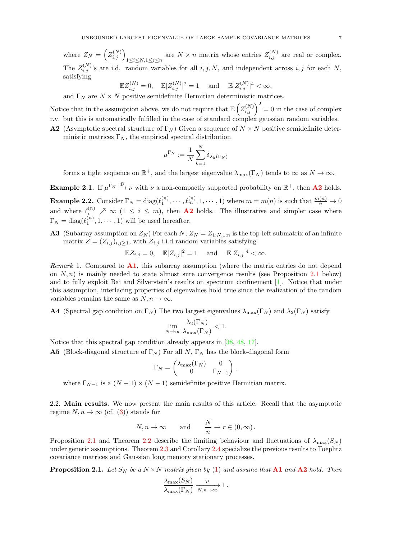where  $Z_N = \left( Z_{i,j}^{(N)} \right)_{1 \leq i \leq N, 1 \leq j \leq n}$  are  $N \times n$  matrix whose entries  $Z_{i,j}^{(N)}$  are real or complex. The  $Z_{i,j}^{(N)}$ 's are i.d. random variables for all  $i, j, N$ , and independent across  $i, j$  for each N, satisfying

$$
\mathbb{E} Z_{i,j}^{(N)}=0,\quad \mathbb{E}|Z_{i,j}^{(N)}|^2=1\quad \ \ \text{and}\quad \ \mathbb{E}|Z_{i,j}^{(N)}|^4<\infty,
$$

and  $\Gamma_N$  are  $N \times N$  positive semidefinite Hermitian deterministic matrices.

Notice that in the assumption above, we do not require that  $\mathbb{E}\left(\frac{Z^{(N)}_{i,j}}{Z^{(N)}}\right)^2=0$  in the case of complex r.v. but this is automatically fulfilled in the case of standard complex gaussian random variables.

**A2** (Asymptotic spectral structure of  $\Gamma_N$ ) Given a sequence of  $N \times N$  positive semidefinite deterministic matrices  $\Gamma_N$ , the empirical spectral distribution

$$
\mu^{\Gamma_N}:=\frac{1}{N}\sum_{k=1}^N\delta_{\lambda_k(\Gamma_N)}
$$

forms a tight sequence on  $\mathbb{R}^+$ , and the largest eigenvalue  $\lambda_{\max}(\Gamma_N)$  tends to  $\infty$  as  $N \to \infty$ .

**Example 2.1.** If  $\mu^{\Gamma_N} \stackrel{\mathcal{D}}{\longrightarrow} \nu$  with  $\nu$  a non-compactly supported probability on  $\mathbb{R}^+$ , then **A2** holds.

**Example 2.2.** Consider  $\Gamma_N = \text{diag}(\ell_1^{(n)}, \cdots, \ell_m^{(n)}, 1, \cdots, 1)$  where  $m = m(n)$  is such that  $\frac{m(n)}{n} \to 0$ and where  $\ell_i^{(n)} \nearrow \infty$   $(1 \leq i \leq m)$ , then **A2** holds. The illustrative and simpler case where  $\Gamma_N = \text{diag}(\ell_1^{(n)}, 1, \dots, 1)$  will be used hereafter.

**A3** (Subarray assumption on  $Z_N$ ) For each N,  $Z_N = Z_{1:N,1:n}$  is the top-left submatrix of an infinite matrix  $Z = (Z_{i,j})_{i,j \geq 1}$ , with  $Z_{i,j}$  i.i.d random variables satisfying

$$
\mathbb{E} Z_{i,j} = 0, \quad \mathbb{E} |Z_{i,j}|^2 = 1 \quad \text{ and } \quad \mathbb{E} |Z_{i,j}|^4 < \infty.
$$

Remark 1. Compared to  $\mathbf{A1}$ , this subarray assumption (where the matrix entries do not depend on  $N, n$ ) is mainly needed to state almost sure convergence results (see Proposition 2.1 below) and to fully exploit Bai and Silverstein's results on spectrum confinement [1]. Notice that under this assumption, interlacing properties of eigenvalues hold true since the realization of the random variables remains the same as  $N, n \to \infty$ .

**A4** (Spectral gap condition on  $\Gamma_N$ ) The two largest eigenvalues  $\lambda_{\text{max}}(\Gamma_N)$  and  $\lambda_2(\Gamma_N)$  satisfy

$$
\overline{\lim}_{N \to \infty} \frac{\lambda_2(\Gamma_N)}{\lambda_{\max}(\Gamma_N)} < 1.
$$

Notice that this spectral gap condition already appears in [38, 48, 17].

**A5** (Block-diagonal structure of  $\Gamma_N$ ) For all N,  $\Gamma_N$  has the block-diagonal form

$$
\Gamma_N = \begin{pmatrix} \lambda_{\max}(\Gamma_N) & 0 \\ 0 & \Gamma_{N-1} \end{pmatrix},
$$

where  $\Gamma_{N-1}$  is a  $(N-1) \times (N-1)$  semidefinite positive Hermitian matrix.

2.2. Main results. We now present the main results of this article. Recall that the asymptotic regime  $N, n \to \infty$  (cf. (3)) stands for

$$
N,n\to\infty\qquad\text{and}\qquad \frac{N}{n}\to r\in(0,\infty)\,.
$$

Proposition 2.1 and Theorem 2.2 describe the limiting behaviour and fluctuations of  $\lambda_{\max}(S_N)$ under generic assumptions. Theorem 2.3 and Corollary 2.4 specialize the previous results to Toeplitz covariance matrices and Gaussian long memory stationary processes.

**Proposition 2.1.** Let  $S_N$  be a  $N \times N$  matrix given by (1) and assume that **A1** and **A2** hold. Then

$$
\frac{\lambda_{\max}(S_N)}{\lambda_{\max}(\Gamma_N)} \xrightarrow[N,n \to \infty]{} 1.
$$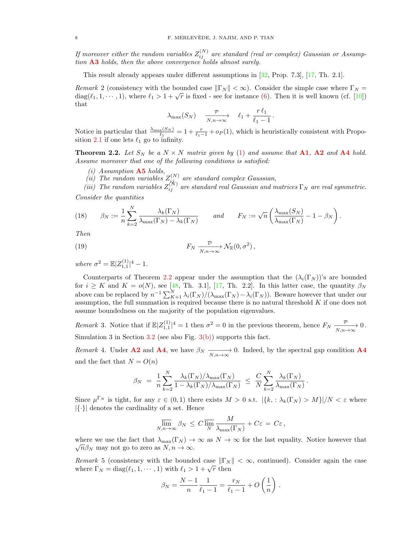If moreover either the random variables  $Z_{ij}^{(N)}$  are standard (real or complex) Gaussian or Assumption  $\mathbf{A3}$  holds, then the above convergence holds almost surely.

This result already appears under different assumptions in [32, Prop. 7.3], [17, Th. 2.1].

Remark 2 (consistency with the bounded case  $\|\Gamma_N\| < \infty$ ). Consider the simple case where  $\Gamma_N =$ *diag*( $\ell_1, 1, \dots, 1$ ), where  $\ell_1 > 1 + \sqrt{r}$  is fixed - see for instance (6). Then it is well known (cf. [10]) that

$$
\lambda_{\max}(S_N) \quad \xrightarrow[N,n\to\infty]{\mathcal{P}} \quad \ell_1 + \frac{r\,\ell_1}{\ell_1 - 1} \, .
$$

Notice in particular that  $\frac{\lambda_{\max}(S_N)}{\ell_1} = 1 + \frac{r}{\ell_1 - 1} + o_P(1)$ , which is heuristically consistent with Proposition 2.1 if one lets  $\ell_1$  go to infinity.

**Theorem 2.2.** Let  $S_N$  be a  $N \times N$  matrix given by (1) and assume that **A1**, **A2** and **A4** hold. Assume moreover that one of the following conditions is satisfied:

- $(i)$  Assumption  $\mathbf{A5}$  holds,
- (ii) The random variables  $Z_{i,j_{\tau}}^{(N)}$  are standard complex Gaussian,

(iii) The random variables  $Z_{ij}^{(N)}$  are standard real Gaussian and matrices  $\Gamma_N$  are real symmetric. Consider the quantities

(18) 
$$
\beta_N := \frac{1}{n} \sum_{k=2}^N \frac{\lambda_k(\Gamma_N)}{\lambda_{\max}(\Gamma_N) - \lambda_k(\Gamma_N)} \quad \text{and} \quad F_N := \sqrt{n} \left( \frac{\lambda_{\max}(S_N)}{\lambda_{\max}(\Gamma_N)} - 1 - \beta_N \right).
$$

Then

(19) 
$$
F_N \xrightarrow[N,n \to \infty]{\mathcal{D}} \mathcal{N}_{\mathbb{R}}(0,\sigma^2),
$$

where  $\sigma^2 = \mathbb{E} |Z_{1,1}^{(1)}|^4 - 1$ .

Counterparts of Theorem 2.2 appear under the assumption that the  $(\lambda_i(\Gamma_N))^s$  are bounded for  $i \geq K$  and  $K = o(N)$ , see [48, Th. 3.1], [17, Th. 2.2]. In this latter case, the quantity  $\beta_N$ above can be replaced by  $n^{-1} \sum_{K+1}^{N} \lambda_i(\Gamma_N) / (\lambda_{\max}(\Gamma_N) - \lambda_i(\Gamma_N))$ . Beware however that under our assumption, the full summation is required because there is no natural threshold  $K$  if one does not assume boundedness on the majority of the population eigenvalues.

Remark 3. Notice that if  $\mathbb{E}|Z_{1,1}^{(1)}|^4 = 1$  then  $\sigma^2 = 0$  in the previous theorem, hence  $F_N \xrightarrow[N,n \to \infty]{} 0$ . Simulation 3 in Section 3.2 (see also Fig.  $3(b)$ ) supports this fact.

Remark 4. Under **A2** and **A4**, we have  $\beta_N \xrightarrow[N,n \to \infty]{} 0$ . Indeed, by the spectral gap condition **A4** and the fact that  $N = O(n)$ 

$$
\beta_N = \frac{1}{n} \sum_{k=2}^N \frac{\lambda_k(\Gamma_N)/\lambda_{\max}(\Gamma_N)}{1 - \lambda_k(\Gamma_N)/\lambda_{\max}(\Gamma_N)} \leq \frac{C}{N} \sum_{k=2}^N \frac{\lambda_k(\Gamma_N)}{\lambda_{\max}(\Gamma_N)}
$$

.

Since  $\mu^{\Gamma_N}$  is tight, for any  $\varepsilon \in (0,1)$  there exists  $M > 0$  s.t.  $|\{k, \Lambda_k(\Gamma_N) > M\}|/N < \varepsilon$  where  $|\{\cdot\}|$  denotes the cardinality of a set. Hence

$$
\overline{\lim}_{N,n\to\infty} \beta_N \leq C \overline{\lim}_{N} \frac{M}{\lambda_{\max}(\Gamma_N)} + C\varepsilon = C\varepsilon,
$$

where we use the fact that  $\lambda_{\max}(\Gamma_N) \to \infty$  as  $N \to \infty$  for the last equality. Notice however that  $\sqrt{n}\beta_N$  may not go to zero as  $N, n \to \infty$ .

Remark 5 (consistency with the bounded case  $\|\Gamma_N\| < \infty$ , continued). Consider again the case where  $\Gamma_N = \text{diag}(\ell_1, 1, \dots, 1)$  with  $\ell_1 > 1 + \sqrt{r}$  then

$$
\beta_N = \frac{N-1}{n} \frac{1}{\ell_1 - 1} = \frac{r_N}{\ell_1 - 1} + O\left(\frac{1}{n}\right).
$$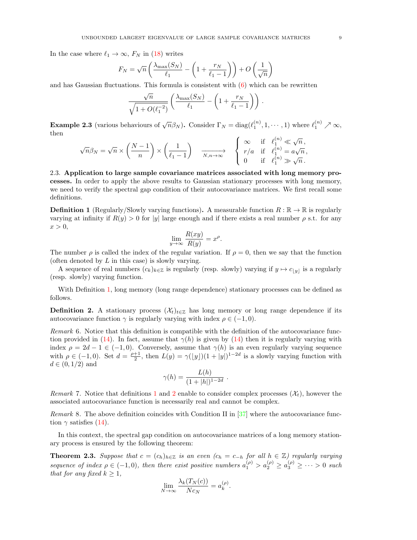In the case where  $\ell_1 \rightarrow \infty$ ,  $F_N$  in (18) writes

$$
F_N = \sqrt{n} \left( \frac{\lambda_{\max}(S_N)}{\ell_1} - \left( 1 + \frac{r_N}{\ell_1 - 1} \right) \right) + O\left(\frac{1}{\sqrt{n}}\right)
$$

and has Gaussian fluctuations. This formula is consistent with  $(6)$  which can be rewritten

$$
\frac{\sqrt{n}}{\sqrt{1+O(\ell_1^{-2})}}\left(\frac{\lambda_{\max}(S_N)}{\ell_1}-\left(1+\frac{r_N}{\ell_1-1}\right)\right).
$$

**Example 2.3** (various behaviours of  $\sqrt{n}\beta_N$ ). Consider  $\Gamma_N = \text{diag}(\ell_1^{(n)}, 1, \dots, 1)$  where  $\ell_1^{(n)} \nearrow \infty$ , then

$$
\sqrt{n}\beta_N=\sqrt{n}\times\left(\frac{N-1}{n}\right)\times\left(\frac{1}{\ell_1-1}\right)\quad\xrightarrow[N,n\to\infty]{\begin{array}{c}\infty\quad \text{if}\quad \ell_1^{(n)}\ll \sqrt{n}\,,\\r/a\quad \text{if}\quad \ell_1^{(n)}=a\sqrt{n}\,,\\0\qquad \text{if}\quad \ell_1^{(n)}\gg \sqrt{n}\,. \end{array}}
$$

2.3. Application to large sample covariance matrices associated with long memory processes. In order to apply the above results to Gaussian stationary processes with long memory, we need to verify the spectral gap condition of their autocovariance matrices. We first recall some definitions.

**Definition 1** (Regularly/Slowly varying functions). A measurable function  $R : \mathbb{R} \to \mathbb{R}$  is regularly varying at infinity if  $R(y) > 0$  for |y| large enough and if there exists a real number  $\rho$  s.t. for any  $x > 0$ ,

$$
\lim_{y \to \infty} \frac{R(xy)}{R(y)} = x^{\rho}.
$$

The number  $\rho$  is called the index of the regular variation. If  $\rho = 0$ , then we say that the function (often denoted by  $L$  in this case) is slowly varying.

A sequence of real numbers  $(c_k)_{k\in\mathbb{Z}}$  is regularly (resp. slowly) varying if  $y \mapsto c_{\lfloor y \rfloor}$  is a regularly (resp. slowly) varying function.

With Definition 1, long memory (long range dependence) stationary processes can be defined as follows.

**Definition 2.** A stationary process  $(\mathcal{X}_t)_{t\in\mathbb{Z}}$  has long memory or long range dependence if its autocovariance function  $\gamma$  is regularly varying with index  $\rho \in (-1, 0)$ .

Remark 6. Notice that this definition is compatible with the definition of the autocovariance function provided in (14). In fact, assume that  $\gamma(h)$  is given by (14) then it is regularly varying with index  $\rho = 2d - 1 \in (-1, 0)$ . Conversely, assume that  $\gamma(h)$  is an even regularly varying sequence with  $\rho \in (-1,0)$ . Set  $d = \frac{\rho+1}{2}$ , then  $L(y) = \gamma(\lfloor y \rfloor)(1+|y|)^{1-2d}$  is a slowly varying function with  $d \in (0,1/2)$  and

$$
\gamma(h) = \frac{L(h)}{(1+|h|)^{1-2d}}.
$$

Remark 7. Notice that definitions 1 and 2 enable to consider complex processes  $(\mathcal{X}_t)$ , however the associated autocovariance function is necessarily real and cannot be complex.

Remark 8. The above definition coincides with Condition II in [37] where the autocovariance function  $\gamma$  satisfies (14).

In this context, the spectral gap condition on autocovariance matrices of a long memory stationary process is ensured by the following theorem:

**Theorem 2.3.** Suppose that  $c = (c_h)_{h \in \mathbb{Z}}$  is an even  $(c_h = c_{-h}$  for all  $h \in \mathbb{Z}$ ) regularly varying sequence of index  $\rho \in (-1,0)$ , then there exist positive numbers  $a_1^{(\rho)} > a_2^{(\rho)} \ge a_3^{(\rho)} \ge \cdots > 0$  such that for any fixed  $k > 1$ ,

$$
\lim_{N \to \infty} \frac{\lambda_k(T_N(c))}{N c_N} = a_k^{(\rho)}.
$$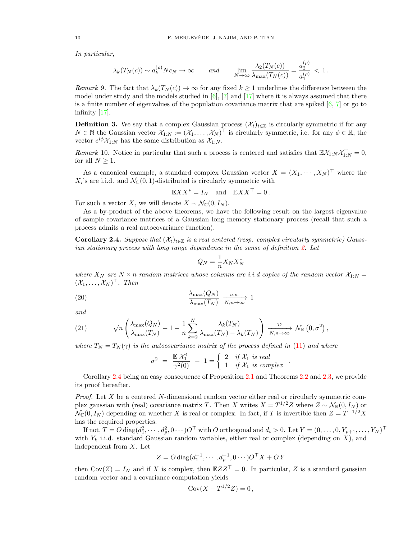In particular,

$$
\lambda_k(T_N(c)) \sim a_k^{(\rho)} N c_N \to \infty \quad \text{and} \quad \lim_{N \to \infty} \frac{\lambda_2(T_N(c))}{\lambda_{\max}(T_N(c))} = \frac{a_2^{(\rho)}}{a_1^{(\rho)}} < 1.
$$

Remark 9. The fact that  $\lambda_k(T_N(c)) \to \infty$  for any fixed  $k \geq 1$  underlines the difference between the model under study and the models studied in  $[6]$ ,  $[7]$  and  $[17]$  where it is always assumed that there is a finite number of eigenvalues of the population covariance matrix that are spiked  $[6, 7]$  or go to infinity [17].

**Definition 3.** We say that a complex Gaussian process  $(\mathcal{X}_t)_{t\in\mathbb{Z}}$  is circularly symmetric if for any  $N \in \mathbb{N}$  the Gaussian vector  $\mathcal{X}_{1:N} := (\mathcal{X}_1, \ldots, \mathcal{X}_N)^\top$  is circularly symmetric, i.e. for any  $\phi \in \mathbb{R}$ , the vector  $e^{i\phi} \mathcal{X}_{1:N}$  has the same distribution as  $\mathcal{X}_{1:N}$ .

Remark 10. Notice in particular that such a process is centered and satisfies that  $\mathbb{E} \mathcal{X}_{1:N} \mathcal{X}_{1:N}^{\top} = 0$ , for all  $N \geq 1$ .

As a canonical example, a standard complex Gaussian vector  $X = (X_1, \dots, X_N)^\top$  where the  $X_i$ 's are i.i.d. and  $\mathcal{N}_{\mathbb{C}}(0,1)$ -distributed is circularly symmetric with

$$
\mathbb{E} X X^* = I_N \quad \text{and} \quad \mathbb{E} X X^\top = 0 \,.
$$

For such a vector X, we will denote  $X \sim \mathcal{N}_{\mathbb{C}}(0, I_N)$ .

As a by-product of the above theorems, we have the following result on the largest eigenvalue of sample covariance matrices of a Gaussian long memory stationary process (recall that such a process admits a real autocovariance function).

**Corollary 2.4.** Suppose that  $(\mathcal{X}_t)_{t \in \mathbb{Z}}$  is a real centered (resp. complex circularly symmetric) Gaussian stationary process with long range dependence in the sense of definition 2. Let

$$
Q_N = \frac{1}{n} X_N X_N^*
$$

where  $X_N$  are  $N \times n$  random matrices whose columns are i.i.d copies of the random vector  $\mathcal{X}_{1:N} =$  $(\mathcal{X}_1,\ldots,\mathcal{X}_N)^\top$ . Then

(20) 
$$
\frac{\lambda_{\max}(Q_N)}{\lambda_{\max}(T_N)} \xrightarrow[n,n \to \infty]{a.s.} 1
$$

and

(21) 
$$
\sqrt{n}\left(\frac{\lambda_{\max}(Q_N)}{\lambda_{\max}(T_N)}-1-\frac{1}{n}\sum_{k=2}^N\frac{\lambda_k(T_N)}{\lambda_{\max}(T_N)-\lambda_k(T_N)}\right)\xrightarrow[N,n\to\infty]{\mathcal{D}}\mathcal{N}_{\mathbb{R}}(0,\sigma^2),
$$

where  $T_N = T_N(\gamma)$  is the autocovariance matrix of the process defined in (11) and where

$$
\sigma^2 = \frac{\mathbb{E}|\mathcal{X}_1^4|}{\gamma^2(0)} - 1 = \begin{cases} 2 & \text{if } \mathcal{X}_1 \text{ is real} \\ 1 & \text{if } \mathcal{X}_1 \text{ is complex} \end{cases}.
$$

Corollary 2.4 being an easy consequence of Proposition 2.1 and Theorems 2.2 and 2.3, we provide its proof hereafter.

Proof. Let X be a centered N-dimensional random vector either real or circularly symmetric complex gaussian with (real) covariance matrix T. Then X writes  $X = T^{1/2}Z$  where  $Z \sim \mathcal{N}_{\mathbb{R}}(0, I_N)$  or  $\mathcal{N}_{\mathbb{C}}(0, I_N)$  depending on whether X is real or complex. In fact, if T is invertible then  $Z = T^{-1/2}X$ has the required properties.

If not,  $T = O \text{ diag}(d_1^2, \dots, d_p^2, 0 \dots) O^{\top}$  with  $O$  orthogonal and  $d_i > 0$ . Let  $Y = (0, \dots, 0, Y_{p+1}, \dots, Y_N)^{\top}$ with  $Y_k$  i.i.d. standard Gaussian random variables, either real or complex (depending on X), and independent from X. Let

$$
Z = O \operatorname{diag}(d_1^{-1}, \cdots, d_p^{-1}, 0 \cdots) O^{\top} X + O Y
$$

then  $Cov(Z) = I_N$  and if X is complex, then  $\mathbb{E} Z Z^{\top} = 0$ . In particular, Z is a standard gaussian random vector and a covariance computation yields

$$
Cov(X - T^{1/2}Z) = 0,
$$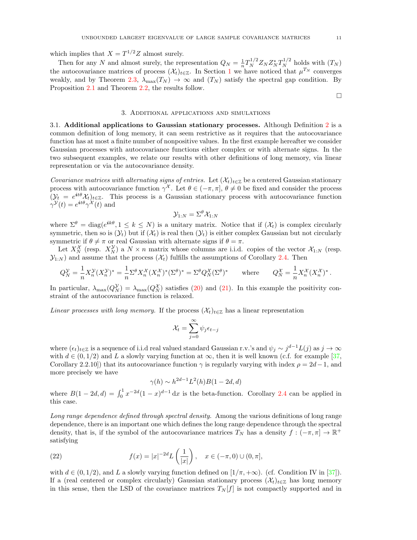which implies that  $X = T^{1/2}Z$  almost surely.

Then for any N and almost surely, the representation  $Q_N = \frac{1}{n} T_N^{1/2} Z_N Z_N^* T_N^{1/2}$  holds with  $(T_N)$ the autocovariance matrices of process  $(\mathcal{X}_t)_{t\in\mathbb{Z}}$ . In Section 1 we have noticed that  $\mu^{T_N}$  converges weakly, and by Theorem 2.3,  $\lambda_{\text{max}}(T_N) \to \infty$  and  $(T_N)$  satisfy the spectral gap condition. By Proposition 2.1 and Theorem 2.2, the results follow.

#### $\Box$

#### 3. Additional applications and simulations

3.1. Additional applications to Gaussian stationary processes. Although Definition 2 is a common definition of long memory, it can seem restrictive as it requires that the autocovariance function has at most a finite number of nonpositive values. In the first example hereafter we consider Gaussian processes with autocovariance functions either complex or with alternate signs. In the two subsequent examples, we relate our results with other definitions of long memory, via linear representation or via the autocovariance density.

Covariance matrices with alternating signs of entries. Let  $(\mathcal{X}_t)_{t\in\mathbb{Z}}$  be a centered Gaussian stationary process with autocovariance function  $\gamma^{\mathcal{X}}$ . Let  $\theta \in (-\pi, \pi]$ ,  $\theta \neq 0$  be fixed and consider the process  $(\mathcal{Y}_t = e^{it\theta} \mathcal{X}_t)_{t \in \mathbb{Z}}$ . This process is a Gaussian stationary process with autocovariance function  $\gamma^{\mathcal{Y}}(t) = e^{it\theta} \gamma^{\mathcal{X}}(t)$  and

$$
\mathcal{Y}_{1:N}=\Sigma^\theta\mathcal{X}_{1:N}
$$

where  $\Sigma^{\theta} = \text{diag}(e^{ik\theta}, 1 \leq k \leq N)$  is a unitary matrix. Notice that if  $(\mathcal{X}_t)$  is complex circularly symmetric, then so is  $(\mathcal{Y}_t)$  but if  $(\mathcal{X}_t)$  is real then  $(\mathcal{Y}_t)$  is either complex Gaussian but not circularly symmetric if  $\theta \neq \pi$  or real Gaussian with alternate signs if  $\theta = \pi$ .

Let  $X_N^{\mathcal{X}}$  (resp.  $X_N^{\mathcal{Y}}$ ) a  $N \times n$  matrix whose columns are i.i.d. copies of the vector  $\mathcal{X}_{1:N}$  (resp.  $\mathcal{Y}_{1:N}$  and assume that the process  $(\mathcal{X}_t)$  fulfills the assumptions of Corollary 2.4. Then

$$
Q_N^{\mathcal{Y}} = \frac{1}{n} X_n^{\mathcal{Y}} (X_n^{\mathcal{Y}})^* = \frac{1}{n} \Sigma^{\theta} X_n^{\mathcal{X}} (X_n^{\mathcal{X}})^* (\Sigma^{\theta})^* = \Sigma^{\theta} Q_N^{\mathcal{X}} (\Sigma^{\theta})^* \quad \text{where} \quad Q_N^{\mathcal{X}} = \frac{1}{n} X_n^{\mathcal{X}} (X_n^{\mathcal{X}})^*.
$$

In particular,  $\lambda_{\max}(Q_N^{\mathcal{Y}}) = \lambda_{\max}(Q_N^{\mathcal{X}})$  satisfies (20) and (21). In this example the positivity constraint of the autocovariance function is relaxed.

Linear processes with long memory. If the process  $(\mathcal{X}_t)_{t\in\mathbb{Z}}$  has a linear representation

$$
\mathcal{X}_t = \sum_{j=0}^{\infty} \psi_j \epsilon_{t-j}
$$

where  $(\epsilon_t)_{t\in\mathbb{Z}}$  is a sequence of i.i.d real valued standard Gaussian r.v.'s and  $\psi_j\sim j^{d-1}L(j)$  as  $j\to\infty$ with  $d \in (0, 1/2)$  and L a slowly varying function at  $\infty$ , then it is well known (c.f. for example [37, Corollary 2.2.10) that its autocovariance function  $\gamma$  is regularly varying with index  $\rho = 2d-1$ , and more precisely we have

$$
\gamma(h) \sim h^{2d-1} L^2(h) B(1 - 2d, d)
$$

where  $B(1-2d, d) = \int_0^1 x^{-2d}(1-x)^{d-1} dx$  is the beta-function. Corollary 2.4 can be applied in this case.

Long range dependence defined through spectral density. Among the various definitions of long range dependence, there is an important one which defines the long range dependence through the spectral density, that is, if the symbol of the autocovariance matrices  $T_N$  has a density  $f: (-\pi, \pi] \to \mathbb{R}^+$ satisfying

(22) 
$$
f(x) = |x|^{-2d} L\left(\frac{1}{|x|}\right), \quad x \in (-\pi, 0) \cup (0, \pi],
$$

with  $d \in (0, 1/2)$ , and L a slowly varying function defined on  $[1/\pi, +\infty)$ . (cf. Condition IV in [37]). If a (real centered or complex circularly) Gaussian stationary process  $(\mathcal{X}_t)_{t\in\mathbb{Z}}$  has long memory in this sense, then the LSD of the covariance matrices  $T_N[f]$  is not compactly supported and in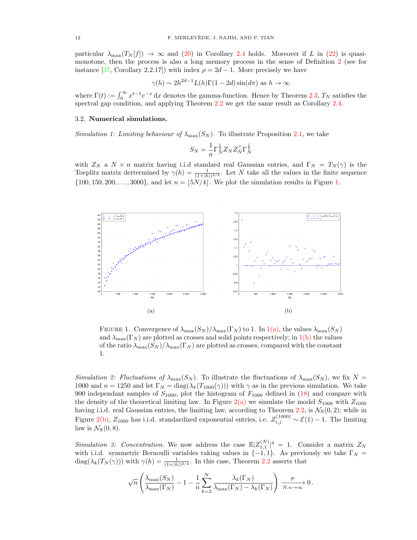particular  $\lambda_{\max}(T_N[f]) \to \infty$  and (20) in Corollary 2.4 holds. Moreover if L in (22) is quasimonotone, then the process is also a long memory process in the sense of Definition 2 (see for instance [37, Corollary 2.2.17]) with index  $\rho = 2d - 1$ . More precisely we have

$$
\gamma(h) \sim 2h^{2d-1}L(h)\Gamma(1-2d)\sin(d\pi)
$$
 as  $h \to \infty$ 

where  $\Gamma(t) := \int_0^\infty x^{t-1} e^{-x} dx$  denotes the gamma-function. Hence by Theorem 2.3,  $T_N$  satisfies the spectral gap condition, and applying Theorem 2.2 we get the same result as Corollary 2.4.

#### 3.2. Numerical simulations.

Simulation 1: Limiting behaviour of  $\lambda_{\max}(S_N)$ . To illustrate Proposition 2.1, we take

$$
S_N = \frac{1}{n} \Gamma_N^{\frac{1}{2}} Z_N Z_N^\top \Gamma_N^{\frac{1}{2}}
$$

with  $Z_N$  a  $N \times n$  matrix having i.i.d standard real Gaussian entries, and  $\Gamma_N = T_N(\gamma)$  is the Toeplitz matrix dertermined by  $\gamma(h) = \frac{1}{(1+|h|)^{3/4}}$ . Let N take all the values in the finite sequence  $\{100, 150, 200, \ldots, 3000\}$ , and let  $n = \lfloor 5N/4 \rfloor$ . We plot the simulation results in Figure 1.



FIGURE 1. Convergence of  $\lambda_{\max}(S_N)/\lambda_{\max}(\Gamma_N)$  to 1. In  $1(a)$ , the values  $\lambda_{\max}(S_N)$ and  $\lambda_{\max}(\Gamma_N)$  are plotted as crosses and solid points respectively; in 1(b) the values of the ratio  $\lambda_{\max}(S_N)/\lambda_{\max}(\Gamma_N)$  are plotted as crosses, compared with the constant 1.

Simulation 2: Fluctuations of  $\lambda_{\max}(S_N)$ . To illustrate the fluctuations of  $\lambda_{\max}(S_N)$ , we fix  $N =$ 1000 and  $n = 1250$  and let  $\Gamma_N = \text{diag}(\lambda_k(T_{1000}(\gamma)))$  with  $\gamma$  as in the previous simulation. We take 900 independant samples of  $S_{1000}$ , plot the histogram of  $F_{1000}$  defined in (18) and compare with the density of the theoretical limiting law. In Figure  $2(a)$  we simulate the model  $S_{1000}$  with  $Z_{1000}$ having i.i.d. real Gaussian entries, the limiting law, according to Theorem 2.2, is  $\mathcal{N}_{\mathbb{R}}(0, 2)$ ; while in Figure 2(b),  $Z_{1000}$  has i.i.d. standardized exponential entries, i.e.  $Z_{i,j}^{(1000)} \sim \mathcal{E}(1) - 1$ . The limiting law is  $\mathcal{N}_{\mathbb{R}}(0,8)$ .

Simulation 3: Concentration. We now address the case  $\mathbb{E}|Z_{1,1}^{(N)}|^4 = 1$ . Consider a matrix  $Z_N$ with i.i.d. symmetric Bernoulli variables taking values in  $\{-1,1\}$ . As previously we take  $\Gamma_N =$  $diag(\lambda_k(T_N(\gamma)))$  with  $\gamma(h) = \frac{1}{(1+|h|)^{3/4}}$ . In this case, Theorem 2.2 asserts that

$$
\sqrt{n}\left(\frac{\lambda_{\max}(S_N)}{\lambda_{\max}(\Gamma_N)}-1-\frac{1}{n}\sum_{k=2}^N\frac{\lambda_k(\Gamma_N)}{\lambda_{\max}(\Gamma_N)-\lambda_k(\Gamma_N)}\right)\xrightarrow[N,n\to\infty]{}0.
$$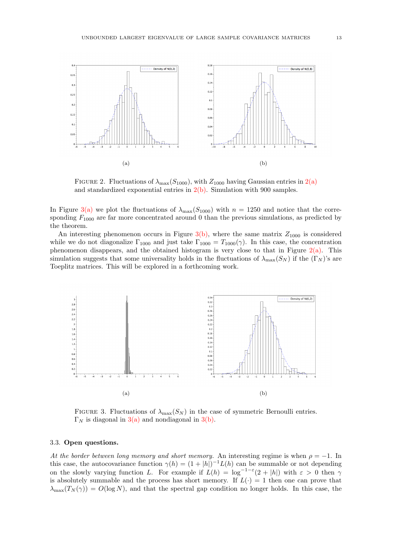

FIGURE 2. Fluctuations of  $\lambda_{\text{max}}(S_{1000})$ , with  $Z_{1000}$  having Gaussian entries in  $2(a)$ and standardized exponential entries in  $2(b)$ . Simulation with 900 samples.

In Figure 3(a) we plot the fluctuations of  $\lambda_{\text{max}}(S_{1000})$  with  $n = 1250$  and notice that the corresponding  $F_{1000}$  are far more concentrated around 0 than the previous simulations, as predicted by the theorem.

An interesting phenomenon occurs in Figure  $3(b)$ , where the same matrix  $Z_{1000}$  is considered while we do not diagonalize  $\Gamma_{1000}$  and just take  $\Gamma_{1000} = T_{1000}(\gamma)$ . In this case, the concentration phenomenon disappears, and the obtained histogram is very close to that in Figure 2(a). This simulation suggests that some universality holds in the fluctuations of  $\lambda_{\text{max}}(S_N)$  if the  $(\Gamma_N)$ 's are Toeplitz matrices. This will be explored in a forthcoming work.



FIGURE 3. Fluctuations of  $\lambda_{\text{max}}(S_N)$  in the case of symmetric Bernoulli entries.  $\Gamma_N$  is diagonal in 3(a) and nondiagonal in 3(b).

#### 3.3. Open questions.

At the border between long memory and short memory. An interesting regime is when  $\rho = -1$ . In this case, the autocovariance function  $\gamma(h) = (1 + |h|)^{-1} L(h)$  can be summable or not depending on the slowly varying function L. For example if  $L(h) = \log^{-1-\epsilon}(2+|h|)$  with  $\varepsilon > 0$  then  $\gamma$ is absolutely summable and the process has short memory. If  $L(\cdot) = 1$  then one can prove that  $\lambda_{\max}(T_N(\gamma)) = O(\log N)$ , and that the spectral gap condition no longer holds. In this case, the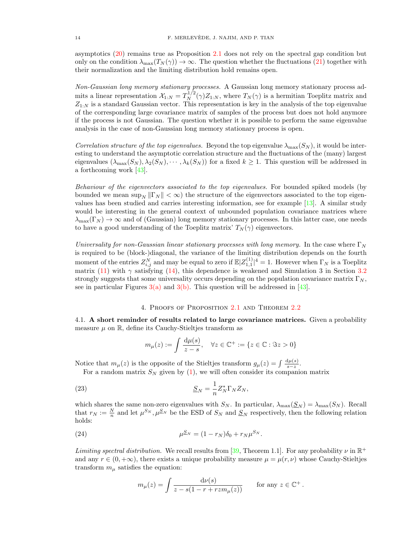asymptotics (20) remains true as Proposition 2.1 does not rely on the spectral gap condition but only on the condition  $\lambda_{\max}(T_N(\gamma)) \to \infty$ . The question whether the fluctuations (21) together with their normalization and the limiting distribution hold remains open.

Non-Gaussian long memory stationary processes. A Gaussian long memory stationary process admits a linear representation  $\mathcal{X}_{1:N} = T_N^{1/2}(\gamma)Z_{1:N}$ , where  $T_N(\gamma)$  is a hermitian Toeplitz matrix and  $Z_{1:N}$  is a standard Gaussian vector. This representation is key in the analysis of the top eigenvalue of the corresponding large covariance matrix of samples of the process but does not hold anymore if the process is not Gaussian. The question whether it is possible to perform the same eigenvalue analysis in the case of non-Gaussian long memory stationary process is open.

Correlation structure of the top eigenvalues. Beyond the top eigenvalue  $\lambda_{\text{max}}(S_N)$ , it would be interesting to understand the asymptotic correlation structure and the fluctuations of the (many) largest eigenvalues  $(\lambda_{\max}(S_N), \lambda_2(S_N), \cdots, \lambda_k(S_N))$  for a fixed  $k \geq 1$ . This question will be addressed in a forthcoming work [43].

Behaviour of the eigenvectors associated to the top eigenvalues. For bounded spiked models (by bounded we mean  $\sup_N \| \Gamma_N \| < \infty$ ) the structure of the eigenvectors associated to the top eigenvalues has been studied and carries interesting information, see for example [13]. A similar study would be interesting in the general context of unbounded population covariance matrices where  $\lambda_{\max}(\Gamma_N) \to \infty$  and of (Gaussian) long memory stationary processes. In this latter case, one needs to have a good understanding of the Toeplitz matrix'  $T_N(\gamma)$  eigenvectors.

Universality for non-Gaussian linear stationary processes with long memory. In the case where  $\Gamma_N$ is required to be (block-)diagonal, the variance of the limiting distribution depends on the fourth moment of the entries  $Z_{i,j}^N$  and may be equal to zero if  $\mathbb{E}|Z_{1,1}^{(1)}|^4=1$ . However when  $\Gamma_N$  is a Toeplitz matrix (11) with  $\gamma$  satisfying (14), this dependence is weakened and Simulation 3 in Section 3.2 strongly suggests that some universality occurs depending on the population covariance matrix  $\Gamma_N$ , see in particular Figures  $3(a)$  and  $3(b)$ . This question will be addressed in [43].

### 4. Proofs of Proposition 2.1 and Theorem 2.2

4.1. A short reminder of results related to large covariance matrices. Given a probability measure  $\mu$  on  $\mathbb R,$  define its Cauchy-Stieltjes transform as

$$
m_{\mu}(z) := \int \frac{\mathrm{d}\mu(s)}{z - s}, \quad \forall z \in \mathbb{C}^+ := \{ z \in \mathbb{C} : \Im z > 0 \}
$$

Notice that  $m_{\mu}(z)$  is the opposite of the Stieltjes transform  $g_{\mu}(z) = \int \frac{d\mu(s)}{s-z}$ .

For a random matrix  $S_N$  given by (1), we will often consider its companion matrix

(23) 
$$
\underline{S}_N = \frac{1}{n} Z_N^* \Gamma_N Z_N,
$$

which shares the same non-zero eigenvalues with  $S_N$ . In particular,  $\lambda_{\max}(\underline{S}_N) = \lambda_{\max}(S_N)$ . Recall that  $r_N := \frac{N}{n}$  and let  $\mu^{S_N}, \mu^{S_N}$  be the ESD of  $S_N$  and  $S_N$  respectively, then the following relation holds:

(24) 
$$
\mu^{S_N} = (1 - r_N)\delta_0 + r_N \mu^{S_N}.
$$

*Limiting spectral distribution.* We recall results from [39, Theorem 1.1]. For any probability  $\nu$  in  $\mathbb{R}^+$ and any  $r \in (0, +\infty)$ , there exists a unique probability measure  $\mu = \mu(r, \nu)$  whose Cauchy-Stieltjes transform  $m_{\mu}$  satisfies the equation:

$$
m_{\mu}(z) = \int \frac{\mathrm{d}\nu(s)}{z - s(1 - r + r \, z m_{\mu}(z))} \qquad \text{for any } z \in \mathbb{C}^+ \, .
$$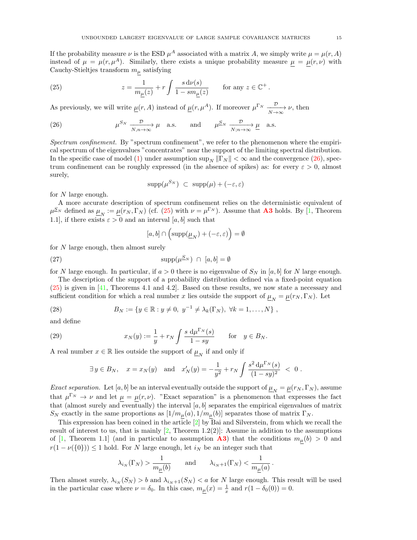If the probability measure  $\nu$  is the ESD  $\mu^A$  associated with a matrix A, we simply write  $\mu = \mu(r, A)$ instead of  $\mu = \mu(r, \mu^A)$ . Similarly, there exists a unique probability measure  $\underline{\mu} = \underline{\mu}(r, \nu)$  with Cauchy-Stieltjes transform  $m_{\mu}$  satisfying

(25) 
$$
z = \frac{1}{m_{\underline{\mu}}(z)} + r \int \frac{s \, d\nu(s)}{1 - s m_{\underline{\mu}}(z)} \quad \text{for any } z \in \mathbb{C}^+.
$$

As previously, we will write  $\underline{\mu}(r, A)$  instead of  $\underline{\mu}(r, \mu^A)$ . If moreover  $\mu^{\Gamma_N}$   $\xrightarrow{\mathcal{D}} \nu$ , then

(26) 
$$
\mu^{S_N} \xrightarrow[N,n \to \infty]{\mathcal{D}} \mu
$$
 a.s. and  $\mu^{S_N} \xrightarrow[N,n \to \infty]{\mathcal{D}} \underline{\mu}$  a.s.

Spectrum confinement. By "spectrum confinement", we refer to the phenomenon where the empirical spectrum of the eigenvalues "concentrates" near the support of the limiting spectral distribution. In the specific case of model (1) under assumption  $\sup_N ||\Gamma_N|| < \infty$  and the convergence (26), spectrum confinement can be roughly expressed (in the absence of spikes) as: for every  $\varepsilon > 0$ , almost surely,

$$
supp(\mu^{S_N}) \subset supp(\mu) + (-\varepsilon, \varepsilon)
$$

for  $N$  large enough.

A more accurate description of spectrum confinement relies on the deterministic equivalent of  $\mu_{N}^{S_{N}}$  defined as  $\underline{\mu}_{N} := \underline{\mu}(r_{N}, \Gamma_{N})$  (cf. (25) with  $\nu = \mu^{\Gamma_{N}}$ ). Assume that **A3** holds. By [1, Theorem 1.1], if there exists  $\varepsilon > 0$  and an interval [a, b] such that

$$
[a, b] \cap \left(\text{supp}(\underline{\mu}_N) + (-\varepsilon, \varepsilon)\right) = \emptyset
$$

for N large enough, then almost surely

$$
\text{supp}(\mu^{\underline{S}_N}) \ \cap \ [a, b] = \emptyset
$$

for N large enough. In particular, if  $a > 0$  there is no eigenvalue of  $S<sub>N</sub>$  in [a, b] for N large enough.

The description of the support of a probability distribution defined via a fixed-point equation (25) is given in [41, Theorems 4.1 and 4.2]. Based on these results, we now state a necessary and sufficient condition for which a real number x lies outside the support of  $\underline{\mu}_N = \underline{\mu}(r_N, \Gamma_N)$ . Let

(28) 
$$
B_N := \{ y \in \mathbb{R} : y \neq 0, \ y^{-1} \neq \lambda_k(\Gamma_N), \ \forall k = 1, ..., N \},
$$

and define

(29) 
$$
x_N(y) := \frac{1}{y} + r_N \int \frac{s \ d\mu^{\Gamma_N}(s)}{1 - sy} \quad \text{for} \quad y \in B_N.
$$

A real number  $x\in\mathbb{R}$  lies outside the support of  $\underline{\mu}_N$  if and only if

$$
\exists y \in B_N
$$
,  $x = x_N(y)$  and  $x'_N(y) = -\frac{1}{y^2} + r_N \int \frac{s^2 d\mu^{\Gamma_N}(s)}{(1 - sy)^2} < 0$ .

*Exact separation.* Let [a, b] be an interval eventually outside the support of  $\underline{\mu}_N = \underline{\mu}(r_N, \Gamma_N)$ , assume that  $\mu^{\Gamma_N} \to \nu$  and let  $\mu = \mu(r, \nu)$ . "Exact separation" is a phenomenon that expresses the fact that (almost surely and eventually) the interval  $[a, b]$  separates the empirical eigenvalues of matrix  $S_N$  exactly in the same proportions as  $[1/m_\mu(a), 1/m_\mu(b)]$  separates those of matrix  $\Gamma_N$ .

This expression has been coined in the article  $[2]$  by Bai and Silverstein, from which we recall the result of interest to us, that is mainly  $[2,$  Theorem 1.2(2)]: Assume in addition to the assumptions of [1, Theorem 1.1] (and in particular to assumption **A3**) that the conditions  $m_{\mu}(b) > 0$  and  $r(1 - \nu({0}) \le 1$  hold. For N large enough, let  $i_N$  be an integer such that

$$
\lambda_{i_N}(\Gamma_N) > \frac{1}{m_{\underline{\mu}}(b)} \qquad \text{and} \qquad \lambda_{i_N+1}(\Gamma_N) < \frac{1}{m_{\underline{\mu}}(a)}\,.
$$

Then almost surely,  $\lambda_{i_N}(S_N) > b$  and  $\lambda_{i_N+1}(S_N) < a$  for N large enough. This result will be used in the particular case where  $\nu = \delta_0$ . In this case,  $m_{\mu}(x) = \frac{1}{x}$  and  $r(1 - \delta_0(0)) = 0$ .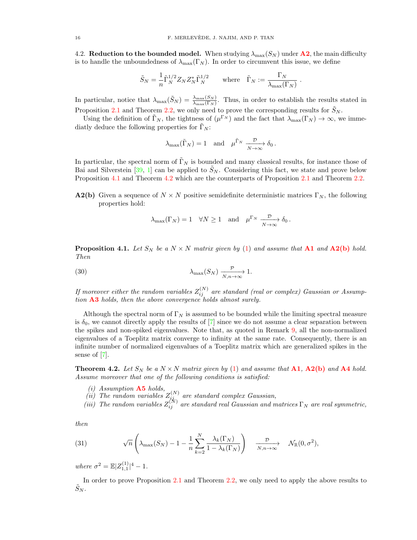4.2. Reduction to the bounded model. When studying  $\lambda_{\max}(S_N)$  under  $\mathbf{A2}$ , the main difficulty is to handle the unboundedness of  $\lambda_{\max}(\Gamma_N)$ . In order to circumvent this issue, we define

$$
\tilde{S}_N = \frac{1}{n} \tilde{\Gamma}_N^{1/2} Z_N Z_N^* \tilde{\Gamma}_N^{1/2} \qquad \text{where} \quad \tilde{\Gamma}_N := \frac{\Gamma_N}{\lambda_{\max}(\Gamma_N)} \ .
$$

In particular, notice that  $\lambda_{\max}(\tilde{S}_N) = \frac{\lambda_{\max}(S_N)}{\lambda_{\max}(\Gamma_N)}$ . Thus, in order to establish the results stated in Proposition 2.1 and Theorem 2.2, we only need to prove the corresponding results for  $\tilde{S}_N$ .

Using the definition of  $\tilde{\Gamma}_N$ , the tightness of  $(\mu^{\Gamma_N})$  and the fact that  $\lambda_{\max}(\Gamma_N) \to \infty$ , we immediatly deduce the following properties for  $\tilde{\Gamma}_N$ :

$$
\lambda_{\max}(\tilde{\Gamma}_N) = 1
$$
 and  $\mu^{\tilde{\Gamma}_N} \xrightarrow[N \to \infty]{\mathcal{D}} \delta_0$ .

In particular, the spectral norm of  $\tilde{\Gamma}_N$  is bounded and many classical results, for instance those of Bai and Silverstein [39, 1] can be applied to  $\tilde{S}_N$ . Considering this fact, we state and prove below Proposition 4.1 and Theorem 4.2 which are the counterparts of Proposition 2.1 and Theorem 2.2.

**A2(b)** Given a sequence of  $N \times N$  positive semidefinite deterministic matrices  $\Gamma_N$ , the following properties hold:

$$
\lambda_{\max}(\Gamma_N) = 1 \quad \forall N \ge 1 \quad \text{and} \quad \mu^{\Gamma_N} \xrightarrow[N \to \infty]{\mathcal{D}} \delta_0.
$$

**Proposition 4.1.** Let  $S_N$  be a  $N \times N$  matrix given by (1) and assume that **A1** and **A2(b)** hold. Then

(30) 
$$
\lambda_{\max}(S_N) \xrightarrow[N,n \to \infty]{\mathcal{P}} 1.
$$

If moreover either the random variables  $Z_{ij}^{(N)}$  are standard (real or complex) Gaussian or Assumption  $\mathbf{A3}$  holds, then the above convergence holds almost surely.

Although the spectral norm of  $\Gamma_N$  is assumed to be bounded while the limiting spectral measure is  $\delta_0$ , we cannot directly apply the results of [7] since we do not assume a clear separation between the spikes and non-spiked eigenvalues. Note that, as quoted in Remark 9, all the non-normalized eigenvalues of a Toeplitz matrix converge to infinity at the same rate. Consequently, there is an infinite number of normalized eigenvalues of a Toeplitz matrix which are generalized spikes in the sense of [7].

**Theorem 4.2.** Let  $S_N$  be a  $N \times N$  matrix given by (1) and assume that **A1**, **A2(b)** and **A4** hold. Assume moreover that one of the following conditions is satisfied:

- $(i)$  Assumption **A5** holds,
- (ii) The random variables  $Z_{j_{j_{\alpha}}}^{(N)}$  are standard complex Gaussian,
- (iii) The random variables  $Z_{ij}^{(N)}$  are standard real Gaussian and matrices  $\Gamma_N$  are real symmetric,

then

(31) 
$$
\sqrt{n}\left(\lambda_{\max}(S_N)-1-\frac{1}{n}\sum_{k=2}^N\frac{\lambda_k(\Gamma_N)}{1-\lambda_k(\Gamma_N)}\right) \xrightarrow[N,n\to\infty]{\mathcal{D}} \mathcal{N}_{\mathbb{R}}(0,\sigma^2),
$$

where  $\sigma^2 = \mathbb{E} |Z_{1,1}^{(1)}|^4 - 1$ .

In order to prove Proposition 2.1 and Theorem 2.2, we only need to apply the above results to  $\tilde{S}_N$  .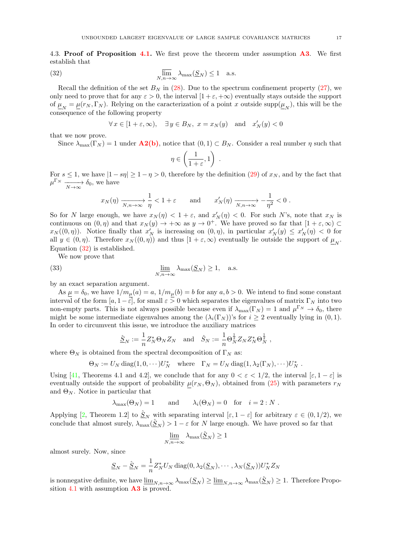4.3. Proof of Proposition 4.1. We first prove the theorem under assumption  $\mathbf{A3}$ . We first establish that

(32) 
$$
\overline{\lim}_{N,n \to \infty} \lambda_{\max}(\underline{S}_N) \le 1 \quad \text{a.s.}
$$

Recall the definition of the set  $B_N$  in (28). Due to the spectrum confinement property (27), we only need to prove that for any  $\varepsilon > 0$ , the interval  $[1 + \varepsilon, +\infty)$  eventually stays outside the support of  $\underline{\mu}_N = \underline{\mu}(r_N, \Gamma_N)$ . Relying on the caracterization of a point x outside supp $(\underline{\mu}_N)$ , this will be the consequence of the following property

$$
\forall x \in [1 + \varepsilon, \infty), \quad \exists y \in B_N, \ x = x_N(y) \quad \text{and} \quad x'_N(y) < 0
$$

that we now prove.

Since  $\lambda_{\max}(\Gamma_N) = 1$  under  $\mathbf{A2(b)}$ , notice that  $(0,1) \subset B_N$ . Consider a real number  $\eta$  such that

$$
\eta \in \left(\frac{1}{1+\varepsilon},1\right) .
$$

For  $s \le 1$ , we have  $|1 - s\eta| \ge 1 - \eta > 0$ , therefore by the definition (29) of  $x_N$ , and by the fact that  $\mu^{\Gamma_N} \longrightarrow \delta_0$ , we have

$$
x_N(\eta) \xrightarrow[N,n \to \infty]{} \frac{1}{\eta} < 1 + \varepsilon \quad \text{and} \quad x_N'(\eta) \xrightarrow[N,n \to \infty]{} -\frac{1}{\eta^2} < 0 \; .
$$

So for N large enough, we have  $x_N(\eta) < 1 + \varepsilon$ , and  $x'_N(\eta) < 0$ . For such N's, note that  $x_N$  is continuous on  $(0, \eta)$  and that  $x_N(y) \to +\infty$  as  $y \to 0^+$ . We have proved so far that  $[1+\varepsilon, \infty)$  $x_N((0, \eta))$ . Notice finally that  $x'_N$  is increasing on  $(0, \eta)$ , in particular  $x'_N(y) \le x'_N(\eta) < 0$  for all  $y \in (0, \eta)$ . Therefore  $x_N((0, \eta))$  and thus  $[1 + \varepsilon, \infty)$  eventually lie outside the support of  $\underline{\mu}_N$ . Equation (32) is established.

We now prove that

(33) 
$$
\lim_{N,n \to \infty} \lambda_{\max}(\underline{S}_N) \ge 1, \quad \text{a.s.}
$$

by an exact separation argument.

As  $\mu = \delta_0$ , we have  $1/m_{\mu}(a) = a$ ,  $1/m_{\mu}(b) = b$  for any  $a, b > 0$ . We intend to find some constant interval of the form  $[a, 1-\varepsilon]$ , for small  $\varepsilon > 0$  which separates the eigenvalues of matrix  $\Gamma_N$  into two non-empty parts. This is not always possible because even if  $\lambda_{\max}(\Gamma_N) = 1$  and  $\mu^{\Gamma_N} \to \delta_0$ , there might be some intermediate eigenvalues among the  $(\lambda_i(\Gamma_N))^s$  for  $i \geq 2$  eventually lying in  $(0,1)$ . In order to circumvent this issue, we introduce the auxiliary matrices

$$
\hat{\underline{S}}_N := \frac{1}{n} Z_N^* \Theta_N Z_N \quad \text{and} \quad \hat{S}_N := \frac{1}{n} \Theta_N^{\frac{1}{2}} Z_N Z_N^* \Theta_N^{\frac{1}{2}} \;,
$$

where  $\Theta_N$  is obtained from the spectral decomposition of  $\Gamma_N$  as:

$$
\Theta_N := U_N \operatorname{diag}(1, 0, \cdots) U_N^* \quad \text{where} \quad \Gamma_N = U_N \operatorname{diag}(1, \lambda_2(\Gamma_N), \cdots) U_N^* \; .
$$

Using [41, Theorems 4.1 and 4.2], we conclude that for any  $0 < \varepsilon < 1/2$ , the interval  $[\varepsilon, 1 - \varepsilon]$  is eventually outside the support of probability  $\mu(r_N, \Theta_N)$ , obtained from (25) with parameters  $r_N$ and  $\Theta_N$ . Notice in particular that

$$
\lambda_{\max}(\Theta_N) = 1
$$
 and  $\lambda_i(\Theta_N) = 0$  for  $i = 2 : N$ .

Applying [2, Theorem 1.2] to  $\hat{\underline{S}}_N$  with separating interval  $[\varepsilon, 1-\varepsilon]$  for arbitrary  $\varepsilon \in (0, 1/2)$ , we conclude that almost surely,  $\lambda_{\max}(\hat{S}_N) > 1 - \varepsilon$  for N large enough. We have proved so far that

$$
\lim_{N,n\to\infty}\lambda_{\max}(\hat{S}_N) \ge 1
$$

almost surely. Now, since

$$
\underline{S}_N - \hat{\underline{S}}_N = \frac{1}{n} Z_N^* U_N \operatorname{diag}(0, \lambda_2(\underline{S}_N), \cdots, \lambda_N(\underline{S}_N)) U_N^* Z_N
$$

is nonnegative definite, we have  $\underline{\lim}_{N,n\to\infty}\lambda_{\max}(\underline{S}_N)\geq \underline{\lim}_{N,n\to\infty}\lambda_{\max}(\hat{S}_N)\geq 1$ . Therefore Proposition 4.1 with assumption  $\mathbf{A3}$  is proved.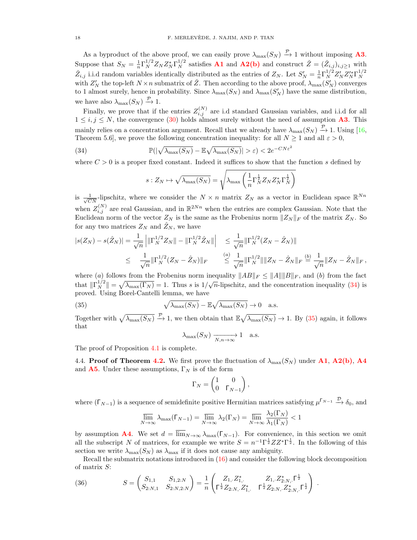As a byproduct of the above proof, we can easily prove  $\lambda_{\max}(S_N) \stackrel{\mathcal{P}}{\rightarrow} 1$  without imposing **A3**. Suppose that  $S_N = \frac{1}{n} \Gamma_N^{1/2} Z_N Z_N^* \Gamma_N^{1/2}$  satisfies **A1** and **A2(b)** and construct  $\check{Z} = (\check{Z}_{i,j})_{i,j \ge 1}$  with  $\tilde{Z}_{i,j}$  i.i.d random variables identically distributed as the entries of  $Z_N$ . Let  $S'_N = \frac{1}{n} \Gamma_N^{1/2} Z'_N Z'^*_{N} \Gamma_N^{1/2}$ N with  $Z'_N$  the top-left  $N \times n$  submatrix of  $\check{Z}$ . Then according to the above proof,  $\lambda_{\max}(S'_N)$  converges to 1 almost surely, hence in probability. Since  $\lambda_{\max}(S_N)$  and  $\lambda_{\max}(S'_N)$  have the same distribution, we have also  $\lambda_{\max}(S_N) \stackrel{\mathcal{P}}{\rightarrow} 1$ .

Finally, we prove that if the entries  $Z_{i,j}^{(N)}$  are i.d standard Gaussian variables, and i.i.d for all  $1 \le i, j \le N$ , the convergence (30) holds almost surely without the need of assumption **A3**. This mainly relies on a concentration argument. Recall that we already have  $\lambda_{\max}(S_N) \stackrel{\mathcal{P}}{\rightarrow} 1$ . Using [16, Theorem 5.6], we prove the following concentration inequality: for all  $N \geq 1$  and all  $\varepsilon > 0$ ,

(34) 
$$
\mathbb{P}(|\sqrt{\lambda_{\max}(S_N)} - \mathbb{E}\sqrt{\lambda_{\max}(S_N)}| > \varepsilon) < 2e^{-CN\varepsilon^2}
$$

where  $C > 0$  is a proper fixed constant. Indeed it suffices to show that the function s defined by

$$
s: Z_N \mapsto \sqrt{\lambda_{\max}(S_N)} = \sqrt{\lambda_{\max}\left(\frac{1}{n}\Gamma_N^{\frac{1}{2}}Z_NZ_N^*\Gamma_N^{\frac{1}{2}}\right)}
$$

is  $\frac{1}{\sqrt{CN}}$ -lipschitz, where we consider the  $N \times n$  matrix  $Z_N$  as a vector in Euclidean space  $\mathbb{R}^{Nn}$ when  $Z_{i,j}^{(N)}$  are real Gaussian, and in  $\mathbb{R}^{2Nn}$  when the entries are complex Gaussian. Note that the Euclidean norm of the vector  $Z_N$  is the same as the Frobenius norm  $||Z_N||_F$  of the matrix  $Z_N$ . So for any two matrices  $Z_N$  and  $\hat{Z}_N$ , we have

$$
|s(Z_N) - s(\hat{Z}_N)| = \frac{1}{\sqrt{n}} \left| \|\Gamma_N^{1/2} Z_N\| - \|\Gamma_N^{1/2} \hat{Z}_N\| \right| \le \frac{1}{\sqrt{n}} \|\Gamma_N^{1/2} (Z_N - \hat{Z}_N)\|
$$
  

$$
\le \frac{1}{\sqrt{n}} \|\Gamma_N^{1/2} (Z_N - \hat{Z}_N)\|_F \le \frac{a}{\sqrt{n}} \|\Gamma_N^{1/2}\| \|Z_N - \hat{Z}_N\|_F \stackrel{(b)}{=} \frac{1}{\sqrt{n}} \|Z_N - \hat{Z}_N\|_F,
$$

where (a) follows from the Frobenius norm inequality  $||AB||_F \le ||A|| ||B||_F$ , and (b) from the fact that  $\|\Gamma_N^{1/2}\| = \sqrt{\lambda_{\max}(\Gamma_N)} = 1$ . Thus s is  $1/\sqrt{n}$ -lipschitz, and the concentration inequality (34) is proved. Using Borel-Cantelli lemma, we have

(35) 
$$
\sqrt{\lambda_{\max}(S_N)} - \mathbb{E}\sqrt{\lambda_{\max}(S_N)} \to 0 \quad \text{a.s.}
$$

Together with  $\sqrt{\lambda_{\max}(S_N)} \stackrel{\mathcal{P}}{\rightarrow} 1$ , we then obtain that  $\mathbb{E}\sqrt{\lambda_{\max}(S_N)} \rightarrow 1$ . By (35) again, it follows that

$$
\lambda_{\max}(S_N) \xrightarrow[N,n \to \infty]{} 1
$$
 a.s.

The proof of Proposition 4.1 is complete.

4.4. Proof of Theorem 4.2. We first prove the fluctuation of  $\lambda_{\max}(S_N)$  under A1, A2(b), A4 and **A5**. Under these assumptions,  $\Gamma_N$  is of the form

$$
\Gamma_N = \begin{pmatrix} 1 & 0 \\ 0 & \Gamma_{N-1} \end{pmatrix},
$$

where  $(\Gamma_{N-1})$  is a sequence of semidefinite positive Hermitian matrices satisfying  $\mu^{\Gamma_{N-1}} \stackrel{\mathcal{D}}{\rightarrow} \delta_0$ , and

$$
\overline{\lim}_{N \to \infty} \lambda_{\max}(\Gamma_{N-1}) = \overline{\lim}_{N \to \infty} \lambda_2(\Gamma_N) = \overline{\lim}_{N \to \infty} \frac{\lambda_2(\Gamma_N)}{\lambda_1(\Gamma_N)} < 1
$$

by assumption **A4**. We set  $d = \overline{\lim}_{N \to \infty} \lambda_{\max}(\Gamma_{N-1})$ . For convenience, in this section we omit all the subscript N of matrices, for example we write  $S = n^{-1} \Gamma^{\frac{1}{2}} Z Z^* \Gamma^{\frac{1}{2}}$ . In the following of this section we write  $\lambda_{\text{max}}(S_N)$  as  $\lambda_{\text{max}}$  if it does not cause any ambiguity.

Recall the submatrix notations introduced in (16) and consider the following block decomposition of matrix S:

(36) 
$$
S = \begin{pmatrix} S_{1,1} & S_{1,2:N} \\ S_{2:N,1} & S_{2:N,2:N} \end{pmatrix} = \frac{1}{n} \begin{pmatrix} Z_{1,2}Z_{1,2}^* & Z_{1,2}Z_{2:N,2}^* & \overline{\Gamma}_{2}^{\frac{1}{2}} \\ \overline{\Gamma}_{2}^{\frac{1}{2}}Z_{2:N,2}Z_{1,2}^* & \overline{\Gamma}_{2}^{\frac{1}{2}}Z_{2:N,2}Z_{2:N,2}^* & \overline{\Gamma}_{2}^{\frac{1}{2}} \end{pmatrix}.
$$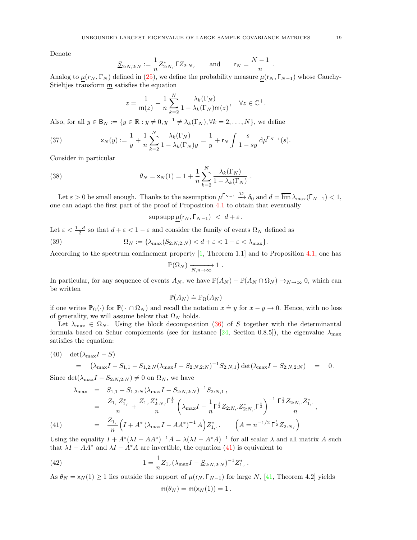Denote

$$
\underline{S}_{2:N,2:N} := \frac{1}{n} Z_{2:N,\cdot}^* \Gamma Z_{2:N,\cdot} \quad \text{and} \quad \mathsf{r}_N = \frac{N-1}{n} \ .
$$

Analog to  $\mu(r_N, \Gamma_N)$  defined in (25), we define the probability measure  $\mu(r_N, \Gamma_{N-1})$  whose Cauchy-Stieltjes transform  $\underline{m}$  satisfies the equation

$$
z = \frac{1}{\underline{\mathbf{m}}(z)} + \frac{1}{n} \sum_{k=2}^{N} \frac{\lambda_k(\Gamma_N)}{1 - \lambda_k(\Gamma_N)\underline{\mathbf{m}}(z)}, \quad \forall z \in \mathbb{C}^+.
$$

Also, for all  $y \in B_N := \{y \in \mathbb{R} : y \neq 0, y^{-1} \neq \lambda_k(\Gamma_N), \forall k = 2, ..., N\}$ , we define

(37) 
$$
x_N(y) := \frac{1}{y} + \frac{1}{n} \sum_{k=2}^N \frac{\lambda_k(\Gamma_N)}{1 - \lambda_k(\Gamma_N)y} = \frac{1}{y} + r_N \int \frac{s}{1 - sy} d\mu^{\Gamma_{N-1}}(s).
$$

Consider in particular

(38) 
$$
\theta_N = \mathsf{x}_N(1) = 1 + \frac{1}{n} \sum_{k=2}^N \frac{\lambda_k(\Gamma_N)}{1 - \lambda_k(\Gamma_N)}
$$

Let  $\varepsilon > 0$  be small enough. Thanks to the assumption  $\mu^{\lceil N-1 \rceil} \xrightarrow{\mathcal{D}} \delta_0$  and  $d = \overline{\lim} \lambda_{\max}(\lceil N-1 \rceil) < 1$ , one can adapt the first part of the proof of Proposition 4.1 to obtain that eventually

.

 $\sup \sup \mu(r_N, \Gamma_{N-1}) < d+\varepsilon$ .

Let  $\varepsilon < \frac{1-d}{2}$  so that  $d + \varepsilon < 1 - \varepsilon$  and consider the family of events  $\Omega_N$  defined as

(39) 
$$
\Omega_N := \{ \lambda_{\max}(S_{2:N,2:N}) < d + \varepsilon < 1 - \varepsilon < \lambda_{\max} \}.
$$

According to the spectrum confinement property  $[1,$  Theorem 1.1] and to Proposition 4.1, one has

$$
\mathbb{P}(\Omega_N) \xrightarrow[N,n \to \infty]{} 1.
$$

In particular, for any sequence of events  $A_N$ , we have  $\mathbb{P}(A_N) - \mathbb{P}(A_N \cap \Omega_N) \to_{N \to \infty} 0$ , which can be written

$$
\mathbb{P}(A_N) \doteq \mathbb{P}_{\Omega}(A_N)
$$

if one writes  $\mathbb{P}_{\Omega}(\cdot)$  for  $\mathbb{P}(\cdot \cap \Omega_N)$  and recall the notation  $x \doteq y$  for  $x - y \to 0$ . Hence, with no loss of generality, we will assume below that  $\Omega_N$  holds.

Let  $\lambda_{\text{max}} \in \Omega_N$ . Using the block decomposition (36) of S together with the determinantal formula based on Schur complements (see for instance [24, Section 0.8.5]), the eigenvalue  $\lambda_{\text{max}}$ satisfies the equation:

(40) 
$$
\det(\lambda_{\max}I - S) = (\lambda_{\max}I - S_{1,1} - S_{1,2:N}(\lambda_{\max}I - S_{2:N,2:N})^{-1}S_{2:N,1})\det(\lambda_{\max}I - S_{2:N,2:N}) = 0.
$$

Since  $\det(\lambda_{\max}I - S_{2:N,2:N}) \neq 0$  on  $\Omega_N$ , we have

(41)

$$
\lambda_{\max} = S_{1,1} + S_{1,2:N} (\lambda_{\max} I - S_{2:N,2:N})^{-1} S_{2:N,1} ,
$$
  
\n
$$
= \frac{Z_{1,2} Z_{1,1}^*}{n} + \frac{Z_{1,2} Z_{2:N,1}^* \Gamma^{\frac{1}{2}}}{n} \left( \lambda_{\max} I - \frac{1}{n} \Gamma^{\frac{1}{2}} Z_{2:N,2} Z_{2:N,1}^* \Gamma^{\frac{1}{2}} \right)^{-1} \frac{\Gamma^{\frac{1}{2}} Z_{2:N,2} Z_{1,1}^*}{n} ,
$$
  
\n
$$
= \frac{Z_{1,1}}{n} \left( I + A^* (\lambda_{\max} I - A A^*)^{-1} A \right) Z_{1,1}^* . \qquad \left( A = n^{-1/2} \Gamma^{\frac{1}{2}} Z_{2:N,1} \right)
$$

Using the equality  $I + A^* (\lambda I - AA^*)^{-1} A = \lambda (\lambda I - A^* A)^{-1}$  for all scalar  $\lambda$  and all matrix A such that  $\lambda I - AA^*$  and  $\lambda I - A^*A$  are invertible, the equation (41) is equivalent to

(42) 
$$
1 = \frac{1}{n} Z_{1,\cdot} (\lambda_{\max} I - \underline{S}_{2:N,2:N})^{-1} Z_{1,\cdot}^*.
$$

As  $\theta_N = x_N(1) \ge 1$  lies outside the support of  $\mu(r_N, \Gamma_{N-1})$  for large N, [41, Theorem 4.2] yields

$$
\underline{\mathbf{m}}(\theta_N) = \underline{\mathbf{m}}(\mathsf{x}_N(1)) = 1.
$$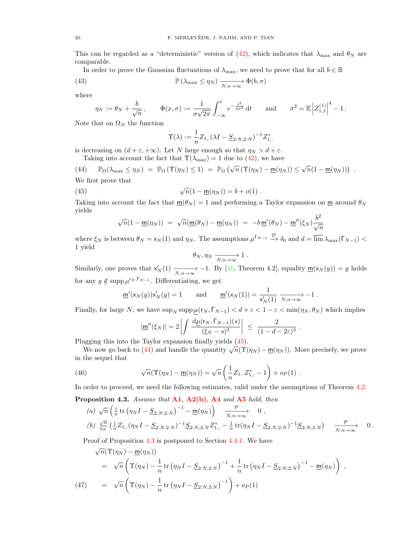This can be regarded as a "deterministic" version of (42), which indicates that  $\lambda_{\text{max}}$  and  $\theta_N$  are comparable.

In order to prove the Gaussian fluctuations of  $\lambda_{\text{max}}$ , we need to prove that for all  $b \in \mathbb{R}$ 

(43) 
$$
\mathbb{P}(\lambda_{\max} \leq \eta_N) \xrightarrow[N,n \to \infty]{} \Phi(b,\sigma)
$$

where

$$
\eta_N := \theta_N + \frac{b}{\sqrt{n}}, \qquad \Phi(x, \sigma) := \frac{1}{\sigma \sqrt{2\pi}} \int_{-\infty}^x e^{-\frac{t^2}{2\sigma^2}} dt \qquad \text{and} \qquad \sigma^2 = \mathbb{E} \left| Z_{1,1}^{(1)} \right|^4 - 1.
$$

Note that on  $\Omega_N$  the function

$$
\Upsilon(\lambda) := \frac{1}{n} Z_{1,\cdot} (\lambda I - \underline{S}_{2:N,2:N})^{-1} Z_{1,\cdot}^*
$$

is decreasing on  $(d + \varepsilon, +\infty)$ . Let N large enough so that  $\eta_N > d + \varepsilon$ .

Taking into account the fact that  $\Upsilon(\lambda_{\text{max}}) = 1$  due to (42), we have

(44) 
$$
\mathbb{P}_{\Omega}(\lambda_{\max} \leq \eta_N) = \mathbb{P}_{\Omega}(\Upsilon(\eta_N) \leq 1) = \mathbb{P}_{\Omega}(\sqrt{n}(\Upsilon(\eta_N) - \underline{m}(\eta_N)) \leq \sqrt{n}(1 - \underline{m}(\eta_N)))
$$
  
We first prove that

st prove that

(45) 
$$
\sqrt{n}(1 - \underline{m}(\eta_N)) = b + o(1) .
$$

Taking into account the fact that  $\underline{m}(\theta_N) = 1$  and performing a Taylor expansion on  $\underline{m}$  around  $\theta_N$ yields

$$
\sqrt{n}(1 - \underline{m}(\eta_N)) = \sqrt{n}(\underline{m}(\theta_N) - \underline{m}(\eta_N)) = -b \underline{m}'(\theta_N) - \underline{m}''(\xi_N) \frac{b^2}{\sqrt{n}}
$$

where  $\xi_N$  is between  $\theta_N = x_N(1)$  and  $\eta_N$ . The assumptions  $\mu^{\Gamma_{N-1}} \xrightarrow{\mathcal{D}} \delta_0$  and  $d = \overline{\lim} \lambda_{\max}(\Gamma_{N-1})$ 1 yield

$$
\theta_N, \eta_N \xrightarrow[N,n \to \infty]{} 1
$$
.

Similarly, one proves that  $x'_N(1) \xrightarrow[N,n\to\infty]{} -1$ . By [41, Theorem 4.2], equality  $\underline{m}(x_N(y)) = y$  holds for any  $y \notin \text{supp }\mu^{r_N,\lceil_{N-1}\rceil}$ . Differentiating, we get

$$
\underline{\mathsf{m}}'(\mathsf{x}_N(y))\mathsf{x}_N'(y) = 1 \quad \text{and} \quad \underline{\mathsf{m}}'(\mathsf{x}_N(1)) = \frac{1}{\mathsf{x}_N'(1)} \xrightarrow[N,n \to \infty]{} -1.
$$

Finally, for large N, we have  $\sup_N \sup_p \mu(r_N, \Gamma_{N-1}) < d + \varepsilon < 1 - \varepsilon < \min(\eta_N, \theta_N)$  which implies

$$
|\underline{\mathsf{m}}''(\xi_N)| = 2 \left| \int \frac{\mathrm{d}\mu(\mathsf{r}_N, \Gamma_{N-1})(s)}{(\xi_N - s)^3} \right| \le \frac{2}{(1 - d - 2\varepsilon)^3}
$$

.

Plugging this into the Taylor expansion finally yields (45).

gging this into the Taylor expansion many yields  $(45)$ .<br>We now go back to  $(44)$  and handle the quantity  $\sqrt{n}(\Upsilon(\eta_N) - \underline{m}(\eta_N))$ . More precisely, we prove in the sequel that

(46) 
$$
\sqrt{n}(\Upsilon(\eta_N) - \underline{m}(\eta_N)) = \sqrt{n} \left( \frac{1}{n} Z_{1, \cdot} Z_{1, \cdot}^* - 1 \right) + o_P(1) .
$$

In order to proceed, we need the following estimates, valid under the assumptions of Theorem 4.2.

Proposition 4.3. Assume that  $A1$ ,  $A2(b)$ ,  $A4$  and  $A5$  hold, then

(a) 
$$
\sqrt{n} \left( \frac{1}{n} \text{tr} \left( \eta_N I - \underline{S}_{2:N,2:N} \right)^{-1} - \underline{m}(\eta_N) \right)
$$
  $\xrightarrow[N,n \to \infty]{\mathcal{P}} 0$ ,  
(b)  $\frac{\sqrt{n}}{\eta_N} \left( \frac{1}{n} Z_{1, \cdot} (\eta_N I - \underline{S}_{2:N,2:N})^{-1} \underline{S}_{2:N,2:N} Z_{1, \cdot}^* - \frac{1}{n} \text{tr}(\eta_N I - \underline{S}_{2:N,2:N})^{-1} \underline{S}_{2:N,2:N} \right)$   $\xrightarrow[N,n \to \infty]{\mathcal{P}} 0$ .

Proof of Proposition 4.3 is postponed to Section 4.4.1. We have √

$$
\sqrt{n}(\Upsilon(\eta_N) - \underline{m}(\eta_N))
$$
\n
$$
= \sqrt{n} \left( \Upsilon(\eta_N) - \frac{1}{n} \operatorname{tr} (\eta_N I - \underline{S}_{2:N,2:N})^{-1} + \frac{1}{n} \operatorname{tr} (\eta_N I - \underline{S}_{2:N,2:N})^{-1} - \underline{m}(\eta_N) \right) ,
$$
\n(47)\n
$$
= \sqrt{n} \left( \Upsilon(\eta_N) - \frac{1}{n} \operatorname{tr} (\eta_N I - \underline{S}_{2:N,2:N})^{-1} \right) + o_P(1)
$$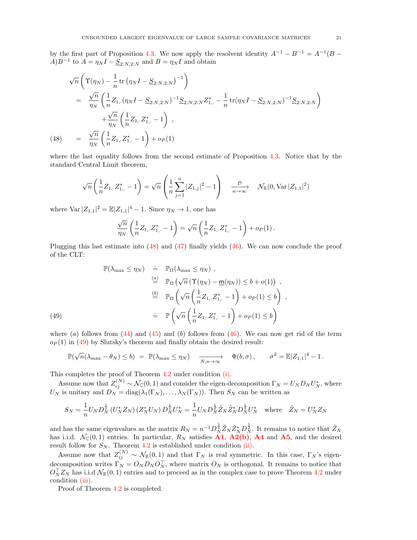by the first part of Proposition 4.3. We now apply the resolvent identity  $A^{-1} - B^{-1} = A^{-1}(B A)B^{-1}$  to  $A = \eta_N I - \underline{S}_{2:N,2:N}$  and  $B = \eta_N I$  and obtain

$$
\sqrt{n}\left(\Upsilon(\eta_N) - \frac{1}{n}\operatorname{tr}\left(\eta_N I - \underline{S}_{2:N,2:N}\right)^{-1}\right)
$$
\n
$$
= \frac{\sqrt{n}}{\eta_N} \left(\frac{1}{n} Z_{1, \cdot} (\eta_N I - \underline{S}_{2:N,2:N})^{-1} \underline{S}_{2:N,2:N} Z_{1, \cdot}^* - \frac{1}{n} \operatorname{tr}(\eta_N I - \underline{S}_{2:N,2:N})^{-1} \underline{S}_{2:N,2:N}\right)
$$
\n
$$
+ \frac{\sqrt{n}}{\eta_N} \left(\frac{1}{n} Z_{1, \cdot} Z_{1, \cdot}^* - 1\right),
$$
\n(48) 
$$
= \frac{\sqrt{n}}{\eta_N} \left(\frac{1}{n} Z_{1, \cdot} Z_{1, \cdot}^* - 1\right) + o_P(1)
$$

where the last equality follows from the second estimate of Proposition 4.3. Notice that by the standard Central Limit theorem,

$$
\sqrt{n}\left(\frac{1}{n}Z_{1,\cdot}Z_{1,\cdot}^{*}-1\right)=\sqrt{n}\left(\frac{1}{n}\sum_{j=1}^{n}|Z_{1,j}|^{2}-1\right)\frac{\mathcal{D}}{n\rightarrow\infty}\mathcal{N}_{\mathbb{R}}(0,\text{Var}\,|Z_{1,1}|^{2})
$$

where  $\text{Var } |Z_{1,1}|^2 = \mathbb{E}|Z_{1,1}|^4 - 1$ . Since  $\eta_N \to 1$ , one has

$$
\frac{\sqrt{n}}{\eta_N}\left(\frac{1}{n}Z_{1,\cdot}Z_{1,\cdot}^*-1\right)=\sqrt{n}\left(\frac{1}{n}Z_{1,\cdot}Z_{1,\cdot}^*-1\right)+o_P(1)\,.
$$

Plugging this last estimate into (48) and (47) finally yields (46). We can now conclude the proof of the CLT:

$$
\mathbb{P}(\lambda_{\max} \leq \eta_N) \quad \doteq \quad \mathbb{P}_{\Omega}(\lambda_{\max} \leq \eta_N),
$$
\n
$$
\stackrel{(a)}{=} \quad \mathbb{P}_{\Omega}(\sqrt{n} \left( \Upsilon(\eta_N) - \underline{m}(\eta_N) \right) \leq b + o(1)),
$$
\n
$$
\stackrel{(b)}{=} \quad \mathbb{P}_{\Omega} \left( \sqrt{n} \left( \frac{1}{n} Z_{1, \cdot} Z_{1, \cdot}^* - 1 \right) + o_P(1) \leq b \right),
$$
\n
$$
\qquad \qquad \doteq \quad \mathbb{P} \left( \sqrt{n} \left( \frac{1}{n} Z_{1, \cdot} Z_{1, \cdot}^* - 1 \right) + o_P(1) \leq b \right)
$$

where (a) follows from  $(44)$  and  $(45)$  and (b) follows from  $(46)$ . We can now get rid of the term  $o_P(1)$  in (49) by Slutsky's theorem and finally obtain the desired result:

$$
\mathbb{P}(\sqrt{n}(\lambda_{\max} - \theta_N) \le b) = \mathbb{P}(\lambda_{\max} \le \eta_N) \quad \xrightarrow[N,n \to \infty]{} \quad \Phi(b,\sigma), \qquad \sigma^2 = \mathbb{E}|Z_{1,1}|^4 - 1.
$$

This completes the proof of Theorem 4.2 under condition (i).

Assume now that  $Z_{ij}^{(N)} \sim \mathcal{N}_{\mathbb{C}}(0,1)$  and consider the eigen-decomposition  $\Gamma_N = U_N D_N U_N^*$ , where  $U_N$  is unitary and  $D_N = \text{diag}(\lambda_1(\Gamma_N), \dots, \lambda_N(\Gamma_N))$ . Then  $S_N$  can be written as

$$
S_N = \frac{1}{n} U_N D_N^{\frac{1}{2}} \left( U_N^* Z_N \right) \left( Z_N^* U_N \right) D_N^{\frac{1}{2}} U_N^* = \frac{1}{n} U_N D_N^{\frac{1}{2}} \tilde{Z}_N \tilde{Z}_N^* D_N^{\frac{1}{2}} U_N^* \quad \text{where} \quad \tilde{Z}_N = U_N^* Z_N
$$

and has the same eigenvalues as the matrix  $R_N = n^{-1}D_N^{\frac{1}{2}} \tilde{Z}_N \tilde{Z}_N^* D_N^{\frac{1}{2}}$ . It remains to notice that  $\tilde{Z}_N$ has i.i.d.  $\mathcal{N}_{\mathbb{C}}(0,1)$  entries. In particular,  $R_N$  satisfies **A1**, **A2(b)**, **A4** and **A5**, and the desired result follow for  $S_N$ . Theorem 4.2 is established under condition (ii).

Assume now that  $Z_{ij}^{(N)} \sim \mathcal{N}_{\mathbb{R}}(0,1)$  and that  $\Gamma_N$  is real symmetric. In this case,  $\Gamma_N$ 's eigendecomposition writes  $\Gamma_N = O_N D_N O_N^{\top}$ , where matrix  $O_N$  is orthogonal. It remains to notice that  $O_N^{\top}Z_N$  has i.i.d  $\mathcal{N}_{\mathbb{R}}(0,1)$  entries and to proceed as in the complex case to prove Theorem 4.2 under condition (iii).

Proof of Theorem 4.2 is completed.

(49)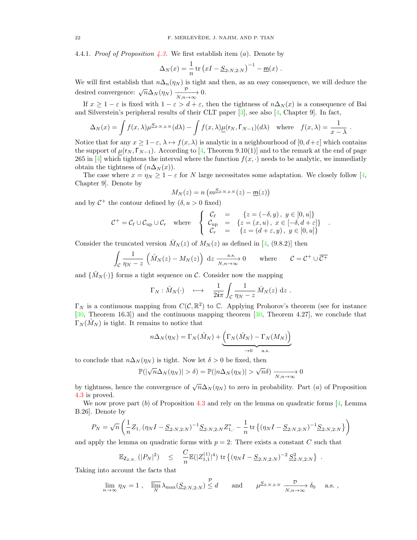4.4.1. Proof of Proposition 4.3. We first establish item (a). Denote by

$$
\Delta_N(x) = \frac{1}{n} \text{tr} (xI - \underline{S}_{2:N,2:N})^{-1} - \underline{m}(x) .
$$

We will first establish that  $n\Delta_n(\eta_N)$  is tight and then, as an easy consequence, we will deduce the desired convergence:  $\sqrt{n}\Delta_N(\eta_N) \xrightarrow[N,n\to\infty]{\mathcal{P}} 0$ .

If  $x \ge 1 - \varepsilon$  is fixed with  $1 - \varepsilon > d + \varepsilon$ , then the tightness of  $n\Delta_N(x)$  is a consequence of Bai and Silverstein's peripheral results of their CLT paper  $[3]$ , see also  $[4]$ , Chapter 9. In fact,

$$
\Delta_N(x) = \int f(x,\lambda) \mu^{\underline{S}_{2:N,2:N}}(d\lambda) - \int f(x,\lambda) \underline{\mu}(\mathsf{r}_N,\Gamma_{N-1})(d\lambda) \quad \text{where} \quad f(x,\lambda) = \frac{1}{x-\lambda}.
$$

Notice that for any  $x \geq 1-\varepsilon$ ,  $\lambda \mapsto f(x,\lambda)$  is analytic in a neighbourhood of  $[0, d+\varepsilon]$  which contains the support of  $\mu(r_N, \Gamma_{N-1})$ . According to [4, Theorem 9.10(1)] and to the remark at the end of page 265 in [4] which tightens the interval where the function  $f(x, \cdot)$  needs to be analytic, we immediatly obtain the tightness of  $(n\Delta_N(x))$ .

The case where  $x = \eta_N \ge 1 - \varepsilon$  for N large necessitates some adaptation. We closely follow [4, Chapter 9]. Denote by

$$
M_N(z) = n \left( m^{\underline{S}_{2:N,2:N}}(z) - \underline{m}(z) \right)
$$

and by  $C^+$  the contour defined by  $(\delta, u > 0$  fixed)

$$
\mathcal{C}^+ = \mathcal{C}_{\ell} \cup \mathcal{C}_{\text{up}} \cup \mathcal{C}_r \quad \text{where} \quad \left\{ \begin{array}{rcl} \mathcal{C}_{\ell} & = & \{z = (-\delta, y) \, , \, y \in [0, u]\} \\ \mathcal{C}_{\text{up}} & = & \{z = (x, u) \, , \, x \in [-\delta, d + \varepsilon]\} \\ \mathcal{C}_r & = & \{z = (d + \varepsilon, y) \, , \, y \in [0, u]\} \end{array} \right.
$$

.

Consider the truncated version  $\hat{M}_N(z)$  of  $M_N(z)$  as defined in [4, (9.8.2)] then

$$
\int_{\mathcal{C}} \frac{1}{\eta_N - z} \left( \hat{M}_N(z) - M_N(z) \right) dz \xrightarrow[N,n \to \infty]{\text{a.s.}} 0 \quad \text{where} \quad \mathcal{C} = \mathcal{C}^+ \cup \overline{\mathcal{C}^+}
$$

and  $\{\hat{M}_N(\cdot)\}\$ forms a tight sequence on C. Consider now the mapping

$$
\Gamma_N: \hat{M}_N(\cdot) \quad \longmapsto \quad \frac{1}{2i\pi}\int_{\mathcal{C}}\frac{1}{\eta_N-z}\,\hat{M}_N(z)\;\mathrm{d} z\;.
$$

 $\Gamma_N$  is a continuous mapping from  $C(\mathcal{C}, \mathbb{R}^2)$  to  $\mathbb{C}$ . Applying Prohorov's theorem (see for instance [30, Theorem 16.3]) and the continuous mapping theorem [30, Theorem 4.27], we conclude that  $\Gamma_N(\hat{M}_N)$  is tight. It remains to notice that

$$
n\Delta_N(\eta_N) = \Gamma_N(\hat{M}_N) + \underbrace{\left(\Gamma_N(\hat{M}_N) - \Gamma_N(M_N)\right)}_{\to 0 \text{ a.s.}}
$$

to conclude that  $n\Delta_N(\eta_N)$  is tight. Now let  $\delta > 0$  be fixed, then

$$
\mathbb{P}(|\sqrt{n}\Delta_N(\eta_N)| > \delta) = \mathbb{P}(|n\Delta_N(\eta_N)| > \sqrt{n}\delta) \xrightarrow[N,n \to \infty]{} 0
$$

by tightness, hence the convergence of  $\sqrt{n}\Delta_N(\eta_N)$  to zero in probability. Part (*a*) of Proposition 4.3 is proved.

We now prove part  $(b)$  of Proposition 4.3 and rely on the lemma on quadratic forms [4, Lemma B.26]. Denote by

$$
P_N = \sqrt{n} \left( \frac{1}{n} Z_{1,\cdot} (\eta_N I - \underline{S}_{2:N,2:N})^{-1} \underline{S}_{2:N,2:N} Z_{1,\cdot}^* - \frac{1}{n} \operatorname{tr} \left\{ (\eta_N I - \underline{S}_{2:N,2:N})^{-1} \underline{S}_{2:N,2:N} \right\} \right)
$$

and apply the lemma on quadratic forms with  $p = 2$ : There exists a constant C such that

$$
\mathbb{E}_{\mathsf{Z}_{2:N,\cdot}}(|P_N|^2) \leq \frac{C}{n} \mathbb{E}(|Z_{1,1}^{(1)}|^4) \operatorname{tr} \{ (\eta_N I - \underline{S}_{2:N,2:N})^{-2} \underline{S}_{2:N,2:N}^2 \} .
$$

Taking into account the facts that

$$
\lim_{n \to \infty} \eta_N = 1 \; , \quad \overline{\lim}_{N} \lambda_{\max}(\underline{S}_{2:N,2:N}) \stackrel{\mathcal{P}}{\leq} d \qquad \text{and} \qquad \mu^{\underline{S}_{2:N,2:N}} \xrightarrow[N,n \to \infty]{\mathcal{D}} \delta_0 \quad \text{a.s.} \; ,
$$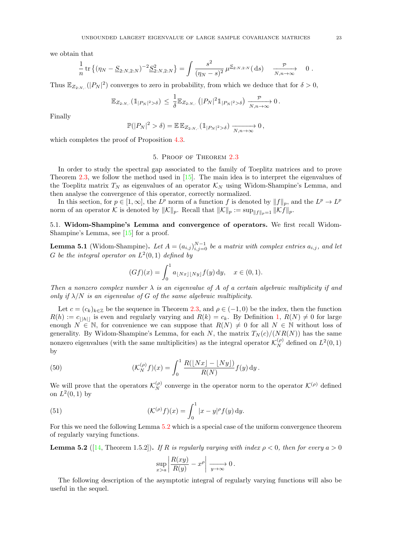we obtain that

$$
\frac{1}{n} \operatorname{tr} \left\{ (\eta_N - \underline{S}_{2:N,2:N})^{-2} \underline{S}_{2:N,2:N}^2 \right\} = \int \frac{s^2}{(\eta_N - s)^2} \, \mu^{\underline{S}_{2:N,2:N}}(\, \mathrm{d}s) \, \xrightarrow[N,n \to \infty]{\mathcal{P}} \, 0 \, .
$$

Thus  $\mathbb{E}_{Z_{2:N,\cdot}}(|P_N|^2)$  converges to zero in probability, from which we deduce that for  $\delta > 0$ ,

$$
\mathbb{E}_{Z_{2:N,\cdot}}(\mathbb{1}_{|P_N|^2 > \delta}) \, \leq \, \frac{1}{\delta} \mathbb{E}_{Z_{2:N,\cdot}}\left(|P_N|^2 \, \mathbb{1}_{|P_N|^2 > \delta}\right) \xrightarrow[N,n \to \infty]{\mathcal{P}} 0 \, .
$$

Finally

$$
\mathbb{P}(|P_N|^2 > \delta) = \mathbb{E} \mathbb{E}_{Z_{2:N,\cdot}} (\mathbb{1}_{|P_N|^2 > \delta}) \xrightarrow[N,n \to \infty]{} 0,
$$

which completes the proof of Proposition 4.3.

#### 5. Proof of Theorem 2.3

In order to study the spectral gap associated to the family of Toeplitz matrices and to prove Theorem 2.3, we follow the method used in [15]. The main idea is to interpret the eigenvalues of the Toeplitz matrix  $T_N$  as eigenvalues of an operator  $\mathcal{K}_N$  using Widom-Shampine's Lemma, and then analyse the convergence of this operator, correctly normalized.

In this section, for  $p \in [1,\infty]$ , the  $L^p$  norm of a function f is denoted by  $||f||_p$ , and the  $L^p \to L^p$ norm of an operator K is denoted by  $||K||_p$ . Recall that  $||K||_p := \sup_{||f||_p=1} ||Kf||_p$ .

5.1. Widom-Shampine's Lemma and convergence of operators. We first recall Widom-Shampine's Lemma, see [15] for a proof.

**Lemma 5.1** (Widom-Shampine). Let  $A = (a_{i,j})_{i,j=0}^{N-1}$  be a matrix with complex entries  $a_{i,j}$ , and let G be the integral operator on  $L^2(0,1)$  defined by

$$
(Gf)(x) = \int_0^1 a_{\lfloor Nx\rfloor\lfloor Ny\rfloor} f(y) \, dy, \quad x \in (0,1).
$$

Then a nonzero complex number  $\lambda$  is an eigenvalue of A of a certain algebraic multiplicity if and only if  $\lambda/N$  is an eigenvalue of G of the same algebraic multiplicity.

Let  $c = (c_k)_{k \in \mathbb{Z}}$  be the sequence in Theorem 2.3, and  $\rho \in (-1, 0)$  be the index, then the function  $R(h) := c_{\vert h \vert}$  is even and regularly varying and  $R(k) = c_k$ . By Definition 1,  $R(N) \neq 0$  for large enough  $N \in \mathbb{N}$ , for convenience we can suppose that  $R(N) \neq 0$  for all  $N \in \mathbb{N}$  without loss of generality. By Widom-Shampine's Lemma, for each N, the matrix  $T_N(c)/(NR(N))$  has the same nonzero eigenvalues (with the same multiplicities) as the integral operator  $\mathcal{K}_N^{(\rho)}$  defined on  $L^2(0,1)$ by

(50) 
$$
(\mathcal{K}_N^{(\rho)}f)(x) = \int_0^1 \frac{R(\lfloor Nx \rfloor - \lfloor Ny \rfloor)}{R(N)} f(y) \, dy.
$$

We will prove that the operators  $\mathcal{K}_N^{(\rho)}$  converge in the operator norm to the operator  $\mathcal{K}^{(\rho)}$  defined on  $L^2(0,1)$  by

(51) 
$$
(\mathcal{K}^{(\rho)}f)(x) = \int_0^1 |x-y|^\rho f(y) \, \mathrm{d}y.
$$

For this we need the following Lemma 5.2 which is a special case of the uniform convergence theorem of regularly varying functions.

**Lemma 5.2** ([14, Theorem 1.5.2]). If R is regularly varying with index  $\rho < 0$ , then for every  $a > 0$ 

$$
\sup_{x>a} \left| \frac{R(xy)}{R(y)} - x^{\rho} \right| \xrightarrow[y \to \infty]{} 0.
$$

The following description of the asymptotic integral of regularly varying functions will also be useful in the sequel.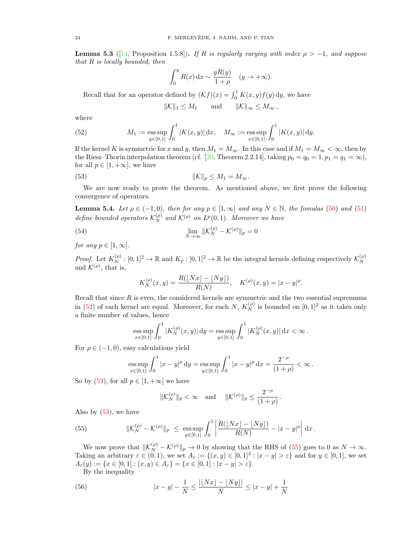**Lemma 5.3** ([14, Proposition 1.5.8]). If R is regularly varying with index  $\rho > -1$ , and suppose that  $R$  is locally bounded, then

$$
\int_0^y R(x) dx \sim \frac{yR(y)}{1+\rho} \quad (y \to +\infty).
$$

Recall that for an operator defined by  $(Kf)(x) = \int_0^1 K(x, y) f(y) dy$ , we have

$$
\|\mathcal{K}\|_1 \le M_1 \quad \text{and} \quad \|\mathcal{K}\|_{\infty} \le M_{\infty} \,,
$$

where

(52) 
$$
M_1 := \underset{y \in [0,1]}{\text{ess sup}} \int_0^1 |K(x,y)| dx, \quad M_\infty := \underset{x \in [0,1]}{\text{ess sup}} \int_0^1 |K(x,y)| dy.
$$

If the kernel K is symmetric for x and y, then  $M_1 = M_\infty$ . In this case and if  $M_1 = M_\infty < \infty$ , then by the Riesz–Thorin interpolation theorem (cf. [20, Theorem 2.2.14], taking  $p_0 = q_0 = 1, p_1 = q_1 = \infty$ ), for all  $p \in [1, +\infty]$ , we have

(53) 
$$
\|\mathcal{K}\|_p \le M_1 = M_\infty.
$$

We are now ready to prove the theorem. As mentioned above, we first prove the following convergence of operators.

**Lemma 5.4.** Let  $\rho \in (-1, 0)$ , then for any  $p \in [1, \infty]$  and any  $N \in \mathbb{N}$ , the fomulas (50) and (51) define bounded operators  $\mathcal{K}_N^{(\rho)}$  and  $\mathcal{K}^{(\rho)}$  on  $L^p(0,1)$ . Moreover we have

(54) 
$$
\lim_{N \to \infty} ||\mathcal{K}_N^{(\rho)} - \mathcal{K}^{(\rho)}||_p = 0
$$

for any  $p \in [1, \infty]$ .

*Proof.* Let  $K_N^{(\rho)} : [0,1]^2 \to \mathbb{R}$  and  $K_\rho : [0,1]^2 \to \mathbb{R}$  be the integral kernels defining respectively  $\mathcal{K}_N^{(\rho)}$ N and  $\mathcal{K}^{(\rho)}$ , that is,

$$
K_N^{(\rho)}(x,y) = \frac{R(\lfloor Nx \rfloor - \lfloor Ny \rfloor)}{R(N)}, \quad K^{(\rho)}(x,y) = |x - y|^\rho.
$$

Recall that since  $R$  is even, the considered kernels are symmetric and the two essential supremums in (52) of each kernel are equal. Moreover, for each N,  $K_N^{(\rho)}$  is bounded on  $[0,1]^2$  as it takes only a finite number of values, hence

ess sup 
$$
\int_0^1 |K_N^{(\rho)}(x, y)| dy = \operatorname{ess} \sup_{y \in [0, 1]} \int_0^1 |K_N^{(\rho)}(x, y)| dx < \infty
$$
.

For  $\rho \in (-1,0)$ , easy calculations yield

ess sup 
$$
\int_0^1 |x - y|^\rho dy = \operatorname{ess} \sup_{y \in [0,1]} \int_0^1 |x - y|^\rho dx = \frac{2^{-\rho}}{(1+\rho)} < \infty
$$
.

So by (53), for all  $p \in [1, +\infty]$  we have

$$
\|\mathcal{K}_N^{(\rho)}\|_p < \infty \quad \text{and} \quad \|\mathcal{K}^{(\rho)}\|_p \leq \frac{2^{-\rho}}{(1+\rho)}\,.
$$

Also by  $(53)$ , we have

(55) 
$$
\|K_N^{(\rho)} - K^{(\rho)}\|_p \le \operatorname{ess} \sup_{y \in [0,1]} \int_0^1 \left| \frac{R(\lfloor Nx \rfloor - \lfloor Ny \rfloor)}{R(N)} - |x - y|^\rho \right| dx.
$$

We now prove that  $\|\mathcal{K}_{N}^{(\rho)} - \mathcal{K}^{(\rho)}\|_{p} \to 0$  by showing that the RHS of (55) goes to 0 as  $N \to \infty$ . Taking an arbitrary  $\varepsilon \in (0,1)$ , we set  $A_{\varepsilon} := \{(x,y) \in [0,1]^2 : |x-y| > \varepsilon\}$  and for  $y \in [0,1]$ , we set  $A_{\varepsilon}(y) := \{x \in [0,1] : (x,y) \in A_{\varepsilon}\} = \{x \in [0,1] : |x-y| > \varepsilon\}.$ 

By the inequality

(56) 
$$
|x - y| - \frac{1}{N} \le \frac{|[Nx] - [Ny]|}{N} \le |x - y| + \frac{1}{N}
$$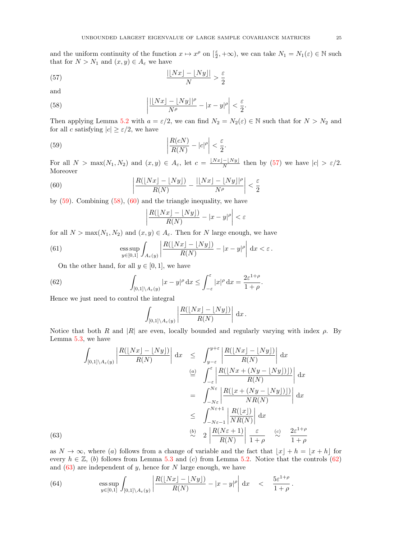and the uniform continuity of the function  $x \mapsto x^{\rho}$  on  $\left[\frac{\varepsilon}{2}, +\infty\right)$ , we can take  $N_1 = N_1(\varepsilon) \in \mathbb{N}$  such that for  $N > N_1$  and  $(x, y) \in A_\varepsilon$  we have

(57) 
$$
\frac{|[Nx]-[Ny]|}{N} > \frac{\varepsilon}{2}
$$

and

(63)

(58) 
$$
\left| \frac{|[Nx] - [Ny]|^{\rho}}{N^{\rho}} - |x - y|^{\rho} \right| < \frac{\varepsilon}{2}.
$$

Then applying Lemma 5.2 with  $a = \varepsilon/2$ , we can find  $N_2 = N_2(\varepsilon) \in \mathbb{N}$  such that for  $N > N_2$  and for all c satisfying  $|c| \geq \varepsilon/2$ , we have

(59) 
$$
\left|\frac{R(cN)}{R(N)}-|c|^\rho\right|<\frac{\varepsilon}{2}.
$$

For all  $N > \max(N_1, N_2)$  and  $(x, y) \in A_\varepsilon$ , let  $c = \frac{\lfloor Nx\rfloor - \lfloor Ny\rfloor}{N}$  $\frac{-\lfloor Ny \rfloor}{N}$  then by (57) we have  $|c| > \varepsilon/2$ . Moreover

(60) 
$$
\left| \frac{R(\lfloor Nx \rfloor - \lfloor Ny \rfloor)}{R(N)} - \frac{\lfloor \lfloor Nx \rfloor - \lfloor Ny \rfloor|^{\rho}}{N^{\rho}} \right| < \frac{\varepsilon}{2}
$$

by (59). Combining (58), (60) and the triangle inequality, we have

$$
\left| \frac{R(\lfloor Nx \rfloor - \lfloor Ny \rfloor)}{R(N)} - |x - y|^\rho \right| < \varepsilon
$$

for all  $N > \max(N_1, N_2)$  and  $(x, y) \in A_{\varepsilon}$ . Then for N large enough, we have

(61) 
$$
\underset{y\in[0,1]}{\mathrm{ess\,sup}}\int_{A_{\varepsilon}(y)}\left|\frac{R(\lfloor Nx\rfloor - \lfloor Ny\rfloor)}{R(N)} - |x-y|^{\rho}\right|\,\mathrm{d}x < \varepsilon.
$$

On the other hand, for all  $y \in [0, 1]$ , we have

(62) 
$$
\int_{[0,1]\setminus A_{\varepsilon}(y)} |x-y|^{\rho} dx \le \int_{-\varepsilon}^{\varepsilon} |x|^{\rho} dx = \frac{2\varepsilon^{1+\rho}}{1+\rho}.
$$

Hence we just need to control the integral

$$
\int_{[0,1]\setminus A_{\varepsilon}(y)} \left| \frac{R(\lfloor Nx \rfloor - \lfloor Ny \rfloor)}{R(N)} \right| dx.
$$

Notice that both R and  $|R|$  are even, locally bounded and regularly varying with index  $\rho$ . By Lemma 5.3, we have

$$
\int_{[0,1]\setminus A_{\varepsilon}(y)} \left| \frac{R(\lfloor Nx \rfloor - \lfloor Ny \rfloor)}{R(N)} \right| dx \leq \int_{y-\varepsilon}^{y+\varepsilon} \left| \frac{R(\lfloor Nx \rfloor - \lfloor Ny \rfloor)}{R(N)} \right| dx
$$
  
\n
$$
\stackrel{(a)}{=} \int_{-\varepsilon}^{\varepsilon} \left| \frac{R(\lfloor Nx + (Ny - \lfloor Ny \rfloor)) \rfloor)}{R(N)} \right| dx
$$
  
\n
$$
= \int_{-N\varepsilon}^{N\varepsilon} \left| \frac{R(\lfloor x + (Ny - \lfloor Ny \rfloor)) \rfloor)}{NR(N)} \right| dx
$$
  
\n
$$
\leq \int_{-N\varepsilon-1}^{N\varepsilon+1} \left| \frac{R(\lfloor x \rfloor)}{NR(N)} \right| dx
$$
  
\n
$$
\stackrel{(b)}{\sim} 2 \left| \frac{R(N\varepsilon+1)}{R(N)} \right| \frac{\varepsilon}{1+\rho} \approx \frac{c}{1+\rho}
$$

as  $N \to \infty$ , where (a) follows from a change of variable and the fact that  $|x| + h = |x + h|$  for every  $h \in \mathbb{Z}$ , (b) follows from Lemma 5.3 and (c) from Lemma 5.2. Notice that the controls (62) and  $(63)$  are independent of y, hence for N large enough, we have

(64) 
$$
\underset{y\in[0,1]}{\mathrm{ess\,sup}}\int_{[0,1]\setminus A_{\varepsilon}(y)}\left|\frac{R(\lfloor Nx\rfloor - \lfloor Ny\rfloor)}{R(N)} - |x-y|^{\rho}\right|\,\mathrm{d}x < \frac{5\varepsilon^{1+\rho}}{1+\rho}.
$$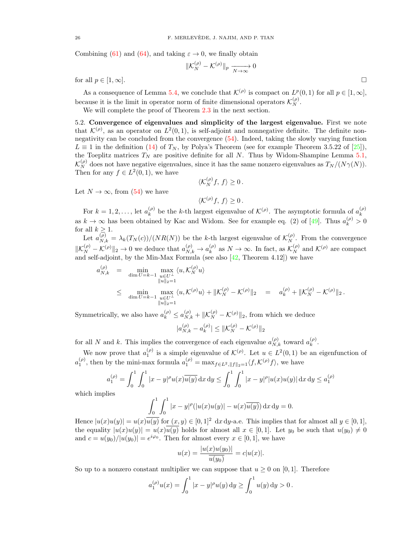Combining (61) and (64), and taking  $\varepsilon \to 0$ , we finally obtain

$$
\|\mathcal{K}_N^{(\rho)} - \mathcal{K}^{(\rho)}\|_p \xrightarrow[N \to \infty]{} 0
$$
 for all  $p \in [1, \infty]$ .

As a consequence of Lemma 5.4, we conclude that  $\mathcal{K}^{(\rho)}$  is compact on  $L^p(0,1)$  for all  $p \in [1,\infty]$ ,

because it is the limit in operator norm of finite dimensional operators  $\mathcal{K}_{N}^{(\rho)}$ .

We will complete the proof of Theorem 2.3 in the next section.

5.2. Convergence of eigenvalues and simplicity of the largest eigenvalue. First we note that  $\mathcal{K}^{(\rho)}$ , as an operator on  $L^2(0,1)$ , is self-adjoint and nonnegative definite. The definite nonnegativity can be concluded from the convergence (54). Indeed, taking the slowly varying function  $L \equiv 1$  in the definition (14) of  $T_N$ , by Polya's Theorem (see for example Theorem 3.5.22 of [25]), the Toeplitz matrices  $T_N$  are positive definite for all N. Thus by Widom-Shampine Lemma 5.1,  $\mathcal{K}_N^{(\rho)}$  does not have negative eigenvalues, since it has the same nonzero eigenvalues as  $T_N/(N\gamma(N)).$ Then for any  $f \in L^2(0,1)$ , we have

$$
\langle \mathcal{K}_N^{(\rho)} f, f \rangle \ge 0.
$$

Let  $N \to \infty$ , from (54) we have

$$
\langle \mathcal{K}^{(\rho)}f, f \rangle \ge 0.
$$

For  $k = 1, 2, ...,$  let  $a_k^{(\rho)}$  $\kappa_k^{(\rho)}$  be the k-th largest eigenvalue of  $\mathcal{K}^{(\rho)}$ . The asymptotic formula of  $a_k^{(\rho)}$ k as  $k \to \infty$  has been obtained by Kac and Widom. See for example eq. (2) of [49]. Thus  $a_k^{(\rho)} > 0$ for all  $k \geq 1$ .

Let  $a_{N,k}^{(\rho)} = \lambda_k(T_N(c))/(NR(N))$  be the k-th largest eigenvalue of  $\mathcal{K}_N^{(\rho)}$ . From the convergence  $||\mathcal{K}_N^{(\rho)} - \mathcal{K}^{(\rho)}||_2 \to 0$  we deduce that  $a_{N,k}^{(\rho)} \to a_k^{(\rho)}$  $\binom{\rho}{k}$  as  $N \to \infty$ . In fact, as  $\mathcal{K}_N^{(\rho)}$  and  $\mathcal{K}^{(\rho)}$  are compact and self-adjoint, by the Min-Max Formula (see also  $[42,$  Theorem 4.12]) we have

$$
a_{N,k}^{(\rho)} = \min_{\substack{\text{dim } U = k-1 \\ \|u\|_2 = 1}} \max_{\substack{u \in U^{\perp} \\ \|u\|_2 = 1}} \langle u, \mathcal{K}_N^{(\rho)} u \rangle + \|\mathcal{K}_N^{(\rho)} - \mathcal{K}^{(\rho)}\|_2 = a_k^{(\rho)} + \|\mathcal{K}_N^{(\rho)} - \mathcal{K}^{(\rho)}\|_2.
$$
  

$$
\leq \min_{\substack{\text{dim } U = k-1 \\ \|u\|_2 = 1}} \max_{\substack{u \in U^{\perp} \\ \|u\|_2 = 1}} \langle u, \mathcal{K}^{(\rho)} u \rangle + \|\mathcal{K}_N^{(\rho)} - \mathcal{K}^{(\rho)}\|_2 = a_k^{(\rho)} + \|\mathcal{K}_N^{(\rho)} - \mathcal{K}^{(\rho)}\|_2.
$$

Symmetrically, we also have  $a_k^{(\rho)} \le a_{N,k}^{(\rho)} + ||\mathcal{K}_N^{(\rho)} - \mathcal{K}^{(\rho)}||_2$ , from which we deduce

$$
|a_{N,k}^{(\rho)} - a_k^{(\rho)}| \le ||\mathcal{K}_N^{(\rho)} - \mathcal{K}^{(\rho)}||_2
$$

for all N and k. This implies the convergence of each eigenvalue  $a_{N,k}^{(\rho)}$  toward  $a_k^{(\rho)}$  $\binom{\rho}{k}$ .

We now prove that  $a_1^{(\rho)}$  is a simple eigenvalue of  $\mathcal{K}^{(\rho)}$ . Let  $u \in L^2(0,1)$  be an eigenfunction of  $a_1^{(\rho)}$ , then by the mini-max formula  $a_1^{(\rho)} = \max_{f \in L^2, ||f||_2 = 1} \langle f, \mathcal{K}^{(\rho)} f \rangle$ , we have

$$
a_1^{(\rho)} = \int_0^1 \int_0^1 |x - y|^{\rho} u(x) \overline{u(y)} \, dx \, dy \le \int_0^1 \int_0^1 |x - y|^{\rho} |u(x)u(y)| \, dx \, dy \le a_1^{(\rho)}
$$

which implies

$$
\int_0^1 \int_0^1 |x - y|^{\rho} (|u(x)u(y)| - u(x)\overline{u(y)}) \,dx \,dy = 0.
$$

Hence  $|u(x)u(y)| = u(x)\overline{u(y)}$  for  $(x, y) \in [0, 1]^2$  dx dy-a.e. This implies that for almost all  $y \in [0, 1]$ , the equality  $|u(x)u(y)| = u(x)\overline{u(y)}$  holds for almost all  $x \in [0,1]$ . Let  $y_0$  be such that  $u(y_0) \neq 0$ and  $c = u(y_0)/|u(y_0)| = e^{i\varphi_0}$ . Then for almost every  $x \in [0,1]$ , we have

$$
u(x) = \frac{|u(x)u(y_0)|}{\overline{u(y_0)}} = c|u(x)|.
$$

So up to a nonzero constant multiplier we can suppose that  $u \geq 0$  on [0, 1]. Therefore

$$
a_1^{(\rho)}u(x) = \int_0^1 |x - y|^{\rho}u(y) \, \mathrm{d}y \ge \int_0^1 u(y) \, \mathrm{d}y > 0 \, .
$$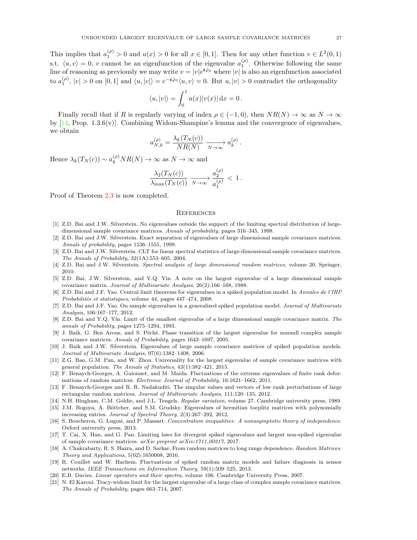This implies that  $a_1^{(\rho)} > 0$  and  $u(x) > 0$  for all  $x \in [0,1]$ . Then for any other function  $v \in L^2(0,1)$ s.t.  $\langle u, v \rangle = 0$ , v cannot be an eigenfunction of the eigenvalue  $a_1^{(\rho)}$ . Otherwise following the same line of reasoning as previously we may write  $v = |v|e^{i\tilde{\varphi}_0}$  where  $|v|$  is also an eigenfunction associated to  $a_1^{(\rho)}, |v| > 0$  on  $[0, 1]$  and  $\langle u, |v| \rangle = e^{-i\tilde{\varphi}_0} \langle u, v \rangle = 0$ . But  $u, |v| > 0$  contradict the orthogonality

$$
\langle u, |v| \rangle = \int_0^1 u(x) |v(x)| \, \mathrm{d}x = 0 \, .
$$

Finally recall that if R is regularly varying of index  $\rho \in (-1,0)$ , then  $NR(N) \to \infty$  as  $N \to \infty$ by  $[14, \text{Prop. } 1.3.6(\text{v})]$ . Combining Widom-Shampine's lemma and the convergence of eigenvalues, we obtain

$$
a_{N,k}^{(\rho)} = \frac{\lambda_k(T_N(c))}{NR(N)} \xrightarrow[N \to \infty]{} a_k^{(\rho)}.
$$

Hence  $\lambda_k(T_N(c)) \sim a_k^{(\rho)} NR(N) \to \infty$  as  $N \to \infty$  and

$$
\frac{\lambda_2(T_N(c))}{\lambda_{\max}(T_N(c))} \xrightarrow[N \to \infty]{} \frac{a_2^{(\rho)}}{a_1^{(\rho)}} < 1.
$$

Proof of Theorem 2.3 is now completed.

#### **REFERENCES**

- [1] Z.D. Bai and J.W. Silverstein. No eigenvalues outside the support of the limiting spectral distribution of largedimensional sample covariance matrices. Annals of probability, pages 316–345, 1998.
- [2] Z.D. Bai and J.W. Silverstein. Exact separation of eigenvalues of large dimensional sample covariance matrices. Annals of probability, pages 1536–1555, 1999.
- [3] Z.D. Bai and J.W. Silverstein. CLT for linear spectral statistics of large-dimensional sample covariance matrices. The Annals of Probability, 32(1A):553–605, 2004.
- [4] Z.D. Bai and J.W. Silverstein. Spectral analysis of large dimensional random matrices, volume 20. Springer, 2010.
- [5] Z.D. Bai, J.W. Silverstein, and Y.Q. Yin. A note on the largest eigenvalue of a large dimensional sample covariance matrix. Journal of Multivariate Analysis, 26(2):166–168, 1988.
- [6] Z.D. Bai and J.F. Yao. Central limit theorems for eigenvalues in a spiked population model. In Annales de l'IHP Probabilités et statistiques, volume 44, pages 447–474, 2008.
- [7] Z.D. Bai and J.F. Yao. On sample eigenvalues in a generalized spiked population model. Journal of Multivariate Analysis, 106:167–177, 2012.
- [8] Z.D. Bai and Y.Q. Yin. Limit of the smallest eigenvalue of a large dimensional sample covariance matrix. The annals of Probability, pages 1275–1294, 1993.
- [9] J. Baik, G. Ben Arous, and S. Péché. Phase transition of the largest eigenvalue for nonnull complex sample covariance matrices. Annals of Probability, pages 1643–1697, 2005.
- [10] J. Baik and J.W. Silverstein. Eigenvalues of large sample covariance matrices of spiked population models. Journal of Multivariate Analysis, 97(6):1382–1408, 2006.
- [11] Z.G. Bao, G.M. Pan, and W. Zhou. Universality for the largest eigenvalue of sample covariance matrices with general population. The Annals of Statistics, 43(1):382–421, 2015.
- [12] F. Benaych-Georges, A. Guionnet, and M. Maida. Fluctuations of the extreme eigenvalues of finite rank deformations of random matrices. Electronic Journal of Probability, 16:1621–1662, 2011.
- [13] F. Benaych-Georges and R. R. Nadakuditi. The singular values and vectors of low rank perturbations of large rectangular random matrices. Journal of Multivariate Analysis, 111:120–135, 2012.
- [14] N.H. Bingham, C.M. Goldie, and J.L. Teugels. Regular variation, volume 27. Cambridge university press, 1989. [15] J.M. Bogoya, A. Böttcher, and S.M. Grudsky. Eigenvalues of hermitian toeplitz matrices with polynomially
- increasing entries. Journal of Spectral Theory, 2(3):267–292, 2012.
- [16] S. Boucheron, G. Lugosi, and P. Massart. Concentration inequalities: A nonasymptotic theory of independence. Oxford university press, 2013.
- [17] T. Cai, X. Han, and G. Pan. Limiting laws for divergent spiked eigenvalues and largest non-spiked eigenvalue of sample covariance matrices. arXiv preprint arXiv:1711.00217, 2017.
- [18] A. Chakrabarty, R. S. Hazra, and D. Sarkar. From random matrices to long range dependence. Random Matrices: Theory and Applications, 5(02):1650008, 2016.
- [19] R. Couillet and W. Hachem. Fluctuations of spiked random matrix models and failure diagnosis in sensor networks. IEEE Transactions on Information Theory, 59(1):509–525, 2013.
- [20] E.B. Davies. Linear operators and their spectra, volume 106. Cambridge University Press, 2007.
- [21] N. El Karoui. Tracy-widom limit for the largest eigenvalue of a large class of complex sample covariance matrices. The Annals of Probability, pages 663–714, 2007.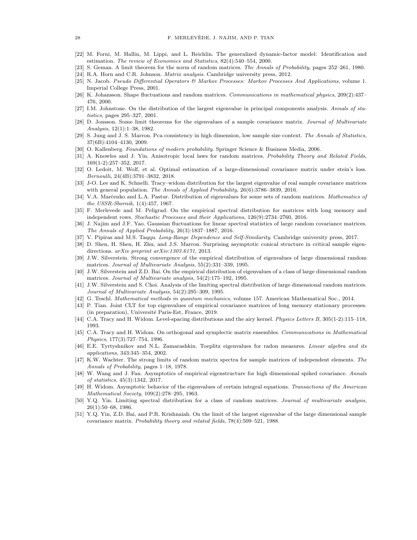- [22] M. Forni, M. Hallin, M. Lippi, and L. Reichlin. The generalized dynamic-factor model: Identification and estimation. The review of Economics and Statistics, 82(4):540–554, 2000.
- [23] S. Geman. A limit theorem for the norm of random matrices. The Annals of Probability, pages 252–261, 1980.
- [24] R.A. Horn and C.R. Johnson. Matrix analysis. Cambridge university press, 2012.
- [25] N. Jacob. Pseudo Differential Operators & Markov Processes: Markov Processes And Applications, volume 1. Imperial College Press, 2001.
- [26] K. Johansson. Shape fluctuations and random matrices. Communications in mathematical physics, 209(2):437– 476, 2000.
- [27] I.M. Johnstone. On the distribution of the largest eigenvalue in principal components analysis. Annals of statistics, pages 295–327, 2001.
- [28] D. Jonsson. Some limit theorems for the eigenvalues of a sample covariance matrix. Journal of Multivariate Analysis, 12(1):1–38, 1982.
- [29] S. Jung and J. S. Marron. Pca consistency in high dimension, low sample size context. The Annals of Statistics, 37(6B):4104–4130, 2009.
- [30] O. Kallenberg. Foundations of modern probability. Springer Science & Business Media, 2006.
- [31] A. Knowles and J. Yin. Anisotropic local laws for random matrices. Probability Theory and Related Fields, 169(1-2):257–352, 2017.
- [32] O. Ledoit, M. Wolf, et al. Optimal estimation of a large-dimensional covariance matrix under stein's loss. Bernoulli, 24(4B):3791–3832, 2018.
- [33] J-O. Lee and K. Schnelli. Tracy–widom distribution for the largest eigenvalue of real sample covariance matrices with general population. The Annals of Applied Probability, 26(6):3786–3839, 2016.
- [34] V.A. Marčenko and L.A. Pastur. Distribution of eigenvalues for some sets of random matrices. Mathematics of the USSR-Sbornik, 1(4):457, 1967.
- [35] F. Merlevede and M. Peligrad. On the empirical spectral distribution for matrices with long memory and independent rows. Stochastic Processes and their Applications, 126(9):2734–2760, 2016.
- [36] J. Najim and J.F. Yao. Gaussian fluctuations for linear spectral statistics of large random covariance matrices. The Annals of Applied Probability, 26(3):1837–1887, 2016.
- [37] V. Pipiras and M.S. Taqqu. Long-Range Dependence and Self-Similarity. Cambridge university press, 2017.
- [38] D. Shen, H. Shen, H. Zhu, and J.S. Marron. Surprising asymptotic conical structure in critical sample eigendirections. arXiv preprint arXiv:1303.6171, 2013.
- [39] J.W. Silverstein. Strong convergence of the empirical distribution of eigenvalues of large dimensional random matrices. Journal of Multivariate Analysis, 55(2):331–339, 1995.
- [40] J.W. Silverstein and Z.D. Bai. On the empirical distribution of eigenvalues of a class of large dimensional random matrices. Journal of Multivariate analysis, 54(2):175–192, 1995.
- [41] J.W. Silverstein and S. Choi. Analysis of the limiting spectral distribution of large dimensional random matrices. Journal of Multivariate Analysis, 54(2):295–309, 1995.
- [42] G. Teschl. Mathematical methods in quantum mechanics, volume 157. American Mathematical Soc., 2014.
- [43] P. Tian. Joint CLT for top eigenvalues of empirical covariance matrices of long memory stationary processes. (in preparation), Université Paris-Est, France, 2019.
- [44] C.A. Tracy and H. Widom. Level-spacing distributions and the airy kernel. Physics Letters B, 305(1-2):115–118, 1993.
- [45] C.A. Tracy and H. Widom. On orthogonal and symplectic matrix ensembles. Communications in Mathematical Physics, 177(3):727–754, 1996.
- [46] E.E. Tyrtyshnikov and N.L. Zamarashkin. Toeplitz eigenvalues for radon measures. Linear algebra and its applications, 343:345–354, 2002.
- [47] K.W. Wachter. The strong limits of random matrix spectra for sample matrices of independent elements. The Annals of Probability, pages 1–18, 1978.
- [48] W. Wang and J. Fan. Asymptotics of empirical eigenstructure for high dimensional spiked covariance. Annals of statistics, 45(3):1342, 2017.
- [49] H. Widom. Asymptotic behavior of the eigenvalues of certain integral equations. Transactions of the American Mathematical Society, 109(2):278–295, 1963.
- [50] Y.Q. Yin. Limiting spectral distribution for a class of random matrices. Journal of multivariate analysis, 20(1):50–68, 1986.
- [51] Y.Q. Yin, Z.D. Bai, and P.R. Krishnaiah. On the limit of the largest eigenvalue of the large dimensional sample covariance matrix. Probability theory and related fields, 78(4):509–521, 1988.